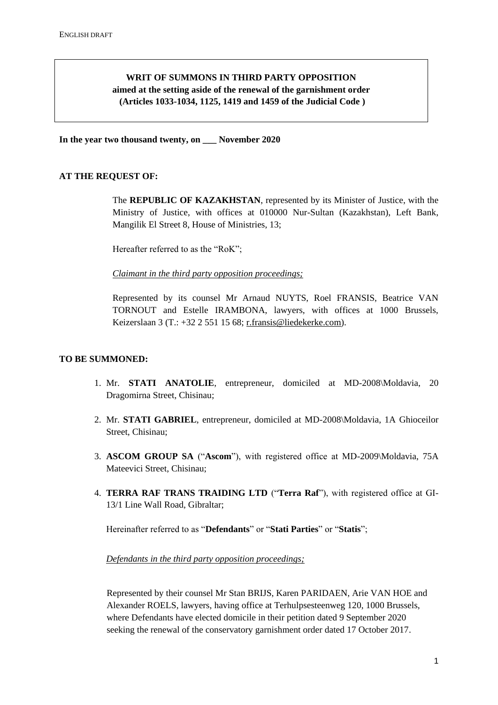# **WRIT OF SUMMONS IN THIRD PARTY OPPOSITION aimed at the setting aside of the renewal of the garnishment order (Articles 1033-1034, 1125, 1419 and 1459 of the Judicial Code )**

**In the year two thousand twenty, on \_\_\_ November 2020**

### **AT THE REQUEST OF:**

The **REPUBLIC OF KAZAKHSTAN**, represented by its Minister of Justice, with the Ministry of Justice, with offices at 010000 Nur-Sultan (Kazakhstan), Left Bank, Mangilik El Street 8, House of Ministries, 13;

Hereafter referred to as the "RoK";

*Claimant in the third party opposition proceedings;*

Represented by its counsel Mr Arnaud NUYTS, Roel FRANSIS, Beatrice VAN TORNOUT and Estelle IRAMBONA, lawyers, with offices at 1000 Brussels, Keizerslaan 3 (T.: +32 2 551 15 68; [r.fransis@liedekerke.com\)](mailto:r.fransis@liedekerke.com).

#### **TO BE SUMMONED:**

- 1. Mr. **STATI ANATOLIE**, entrepreneur, domiciled at MD-2008\Moldavia, 20 Dragomirna Street, Chisinau;
- 2. Mr. **STATI GABRIEL**, entrepreneur, domiciled at MD-2008\Moldavia, 1A Ghioceilor Street, Chisinau;
- 3. **ASCOM GROUP SA** ("**Ascom**"), with registered office at MD-2009\Moldavia, 75A Mateevici Street, Chisinau;
- 4. **TERRA RAF TRANS TRAIDING LTD** ("**Terra Raf**"), with registered office at GI-13/1 Line Wall Road, Gibraltar;

Hereinafter referred to as "**Defendants**" or "**Stati Parties**" or "**Statis**";

#### *Defendants in the third party opposition proceedings;*

Represented by their counsel Mr Stan BRIJS, Karen PARIDAEN, Arie VAN HOE and Alexander ROELS, lawyers, having office at Terhulpsesteenweg 120, 1000 Brussels, where Defendants have elected domicile in their petition dated 9 September 2020 seeking the renewal of the conservatory garnishment order dated 17 October 2017.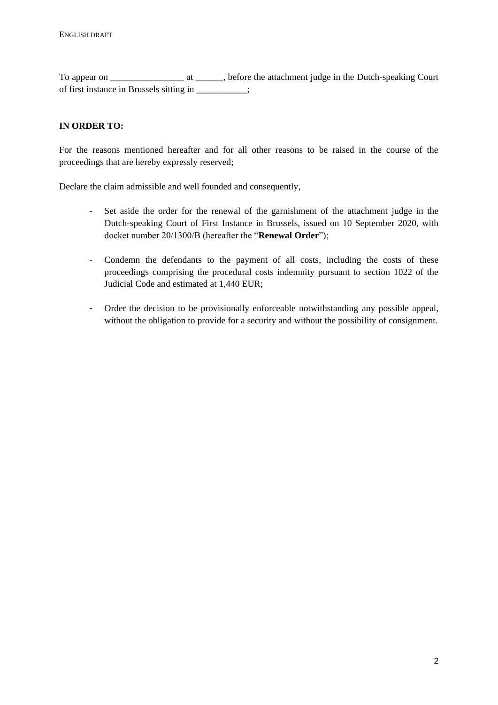To appear on To appear on at the attachment judge in the Dutch-speaking Court of first instance in Brussels sitting in \_\_\_\_\_\_\_\_\_\_\_;

## **IN ORDER TO:**

For the reasons mentioned hereafter and for all other reasons to be raised in the course of the proceedings that are hereby expressly reserved;

Declare the claim admissible and well founded and consequently,

- Set aside the order for the renewal of the garnishment of the attachment judge in the Dutch-speaking Court of First Instance in Brussels, issued on 10 September 2020, with docket number 20/1300/B (hereafter the "**Renewal Order**");
- Condemn the defendants to the payment of all costs, including the costs of these proceedings comprising the procedural costs indemnity pursuant to section 1022 of the Judicial Code and estimated at 1,440 EUR;
- Order the decision to be provisionally enforceable notwithstanding any possible appeal, without the obligation to provide for a security and without the possibility of consignment.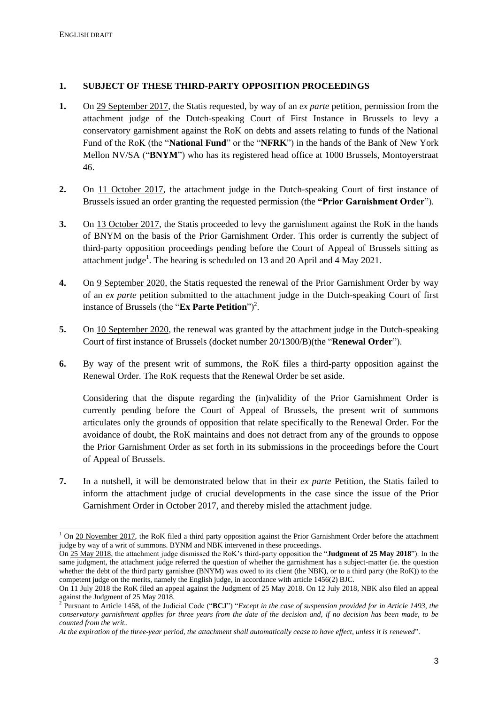### **1. SUBJECT OF THESE THIRD-PARTY OPPOSITION PROCEEDINGS**

- **1.** On 29 September 2017, the Statis requested, by way of an *ex parte* petition, permission from the attachment judge of the Dutch-speaking Court of First Instance in Brussels to levy a conservatory garnishment against the RoK on debts and assets relating to funds of the National Fund of the RoK (the "**National Fund**" or the "**NFRK**") in the hands of the Bank of New York Mellon NV/SA ("**BNYM**") who has its registered head office at 1000 Brussels, Montoyerstraat 46.
- **2.** On 11 October 2017, the attachment judge in the Dutch-speaking Court of first instance of Brussels issued an order granting the requested permission (the **"Prior Garnishment Order**").
- **3.** On 13 October 2017, the Statis proceeded to levy the garnishment against the RoK in the hands of BNYM on the basis of the Prior Garnishment Order. This order is currently the subject of third-party opposition proceedings pending before the Court of Appeal of Brussels sitting as attachment judge<sup>1</sup>. The hearing is scheduled on 13 and 20 April and 4 May 2021.
- **4.** On 9 September 2020, the Statis requested the renewal of the Prior Garnishment Order by way of an *ex parte* petition submitted to the attachment judge in the Dutch-speaking Court of first instance of Brussels (the " $\mathbf{Ex}$  **Parte Petition**")<sup>2</sup>.
- **5.** On 10 September 2020, the renewal was granted by the attachment judge in the Dutch-speaking Court of first instance of Brussels (docket number 20/1300/B)(the "**Renewal Order**").
- **6.** By way of the present writ of summons, the RoK files a third-party opposition against the Renewal Order. The RoK requests that the Renewal Order be set aside.

Considering that the dispute regarding the (in)validity of the Prior Garnishment Order is currently pending before the Court of Appeal of Brussels, the present writ of summons articulates only the grounds of opposition that relate specifically to the Renewal Order. For the avoidance of doubt, the RoK maintains and does not detract from any of the grounds to oppose the Prior Garnishment Order as set forth in its submissions in the proceedings before the Court of Appeal of Brussels.

**7.** In a nutshell, it will be demonstrated below that in their *ex parte* Petition, the Statis failed to inform the attachment judge of crucial developments in the case since the issue of the Prior Garnishment Order in October 2017, and thereby misled the attachment judge.

<sup>1</sup>  $1$  On 20 November 2017, the RoK filed a third party opposition against the Prior Garnishment Order before the attachment judge by way of a writ of summons. BYNM and NBK intervened in these proceedings.

On 25 May 2018, the attachment judge dismissed the RoK's third-party opposition the "**Judgment of 25 May 2018**"). In the same judgment, the attachment judge referred the question of whether the garnishment has a subject-matter (ie. the question whether the debt of the third party garnishee (BNYM) was owed to its client (the NBK), or to a third party (the RoK)) to the competent judge on the merits, namely the English judge, in accordance with article 1456(2) BJC.

On 11 July 2018 the RoK filed an appeal against the Judgment of 25 May 2018. On 12 July 2018, NBK also filed an appeal against the Judgment of 25 May 2018. 2 Pursuant to Article 1458, of the Judicial Code ("**BCJ**") "*Except in the case of suspension provided for in Article 1493, the* 

*conservatory garnishment applies for three years from the date of the decision and, if no decision has been made, to be counted from the writ..*

*At the expiration of the three-year period, the attachment shall automatically cease to have effect, unless it is renewed*".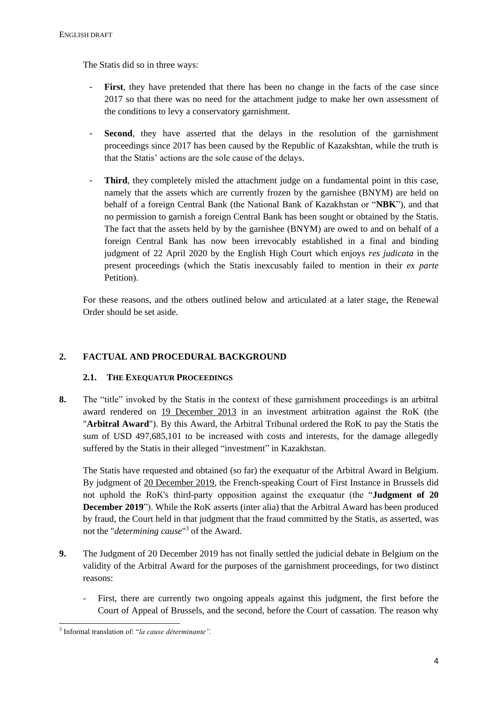The Statis did so in three ways:

- First, they have pretended that there has been no change in the facts of the case since 2017 so that there was no need for the attachment judge to make her own assessment of the conditions to levy a conservatory garnishment.
- **Second**, they have asserted that the delays in the resolution of the garnishment proceedings since 2017 has been caused by the Republic of Kazakshtan, while the truth is that the Statis' actions are the sole cause of the delays.
- **Third**, they completely misled the attachment judge on a fundamental point in this case, namely that the assets which are currently frozen by the garnishee (BNYM) are held on behalf of a foreign Central Bank (the National Bank of Kazakhstan or "**NBK**"), and that no permission to garnish a foreign Central Bank has been sought or obtained by the Statis. The fact that the assets held by by the garnishee (BNYM) are owed to and on behalf of a foreign Central Bank has now been irrevocably established in a final and binding judgment of 22 April 2020 by the English High Court which enjoys *res judicata* in the present proceedings (which the Statis inexcusably failed to mention in their *ex parte* Petition).

For these reasons, and the others outlined below and articulated at a later stage, the Renewal Order should be set aside.

## **2. FACTUAL AND PROCEDURAL BACKGROUND**

## **2.1. THE EXEQUATUR PROCEEDINGS**

**8.** The "title" invoked by the Statis in the context of these garnishment proceedings is an arbitral award rendered on 19 December 2013 in an investment arbitration against the RoK (the "**Arbitral Award**"). By this Award, the Arbitral Tribunal ordered the RoK to pay the Statis the sum of USD 497,685,101 to be increased with costs and interests, for the damage allegedly suffered by the Statis in their alleged "investment" in Kazakhstan.

The Statis have requested and obtained (so far) the exequatur of the Arbitral Award in Belgium. By judgment of 20 December 2019, the French-speaking Court of First Instance in Brussels did not uphold the RoK's third-party opposition against the exequatur (the "**Judgment of 20 December 2019**"). While the RoK asserts (inter alia) that the Arbitral Award has been produced by fraud, the Court held in that judgment that the fraud committed by the Statis, as asserted, was not the "*determining cause*" 3 of the Award.

- **9.** The Judgment of 20 December 2019 has not finally settled the judicial debate in Belgium on the validity of the Arbitral Award for the purposes of the garnishment proceedings, for two distinct reasons:
	- First, there are currently two ongoing appeals against this judgment, the first before the Court of Appeal of Brussels, and the second, before the Court of cassation. The reason why

-

<sup>3</sup> Informal translation of: "*la cause déterminante".*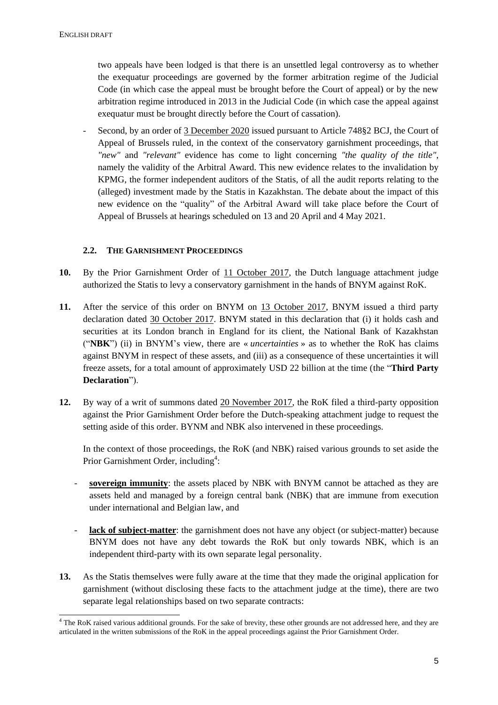two appeals have been lodged is that there is an unsettled legal controversy as to whether the exequatur proceedings are governed by the former arbitration regime of the Judicial Code (in which case the appeal must be brought before the Court of appeal) or by the new arbitration regime introduced in 2013 in the Judicial Code (in which case the appeal against exequatur must be brought directly before the Court of cassation).

Second, by an order of 3 December 2020 issued pursuant to Article 748§2 BCJ, the Court of Appeal of Brussels ruled, in the context of the conservatory garnishment proceedings, that *"new"* and *"relevant"* evidence has come to light concerning *"the quality of the title"*, namely the validity of the Arbitral Award. This new evidence relates to the invalidation by KPMG, the former independent auditors of the Statis, of all the audit reports relating to the (alleged) investment made by the Statis in Kazakhstan. The debate about the impact of this new evidence on the "quality" of the Arbitral Award will take place before the Court of Appeal of Brussels at hearings scheduled on 13 and 20 April and 4 May 2021.

### **2.2. THE GARNISHMENT PROCEEDINGS**

- **10.** By the Prior Garnishment Order of 11 October 2017, the Dutch language attachment judge authorized the Statis to levy a conservatory garnishment in the hands of BNYM against RoK.
- **11.** After the service of this order on BNYM on 13 October 2017, BNYM issued a third party declaration dated 30 October 2017. BNYM stated in this declaration that (i) it holds cash and securities at its London branch in England for its client, the National Bank of Kazakhstan ("**NBK**") (ii) in BNYM's view, there are « *uncertainties* » as to whether the RoK has claims against BNYM in respect of these assets, and (iii) as a consequence of these uncertainties it will freeze assets, for a total amount of approximately USD 22 billion at the time (the "**Third Party Declaration**").
- **12.** By way of a writ of summons dated 20 November 2017, the RoK filed a third-party opposition against the Prior Garnishment Order before the Dutch-speaking attachment judge to request the setting aside of this order. BYNM and NBK also intervened in these proceedings.

In the context of those proceedings, the RoK (and NBK) raised various grounds to set aside the Prior Garnishment Order, including<sup>4</sup>:

- sovereign immunity: the assets placed by NBK with BNYM cannot be attached as they are assets held and managed by a foreign central bank (NBK) that are immune from execution under international and Belgian law, and
- **lack of subject-matter**: the garnishment does not have any object (or subject-matter) because BNYM does not have any debt towards the RoK but only towards NBK, which is an independent third-party with its own separate legal personality.
- **13.** As the Statis themselves were fully aware at the time that they made the original application for garnishment (without disclosing these facts to the attachment judge at the time), there are two separate legal relationships based on two separate contracts:

<sup>1</sup>  $4$  The RoK raised various additional grounds. For the sake of brevity, these other grounds are not addressed here, and they are articulated in the written submissions of the RoK in the appeal proceedings against the Prior Garnishment Order.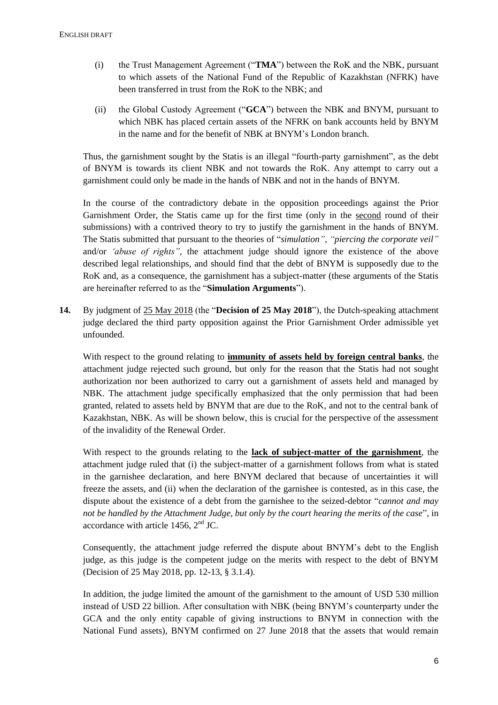- (i) the Trust Management Agreement ("**TMA**") between the RoK and the NBK, pursuant to which assets of the National Fund of the Republic of Kazakhstan (NFRK) have been transferred in trust from the RoK to the NBK; and
- (ii) the Global Custody Agreement ("**GCA**") between the NBK and BNYM, pursuant to which NBK has placed certain assets of the NFRK on bank accounts held by BNYM in the name and for the benefit of NBK at BNYM's London branch.

Thus, the garnishment sought by the Statis is an illegal "fourth-party garnishment", as the debt of BNYM is towards its client NBK and not towards the RoK. Any attempt to carry out a garnishment could only be made in the hands of NBK and not in the hands of BNYM.

In the course of the contradictory debate in the opposition proceedings against the Prior Garnishment Order, the Statis came up for the first time (only in the second round of their submissions) with a contrived theory to try to justify the garnishment in the hands of BNYM. The Statis submitted that pursuant to the theories of "*simulation"*, *"piercing the corporate veil"* and/or *'abuse of rights"*, the attachment judge should ignore the existence of the above described legal relationships, and should find that the debt of BNYM is supposedly due to the RoK and, as a consequence, the garnishment has a subject-matter (these arguments of the Statis are hereinafter referred to as the "**Simulation Arguments**").

**14.** By judgment of 25 May 2018 (the "**Decision of 25 May 2018**"), the Dutch-speaking attachment judge declared the third party opposition against the Prior Garnishment Order admissible yet unfounded.

With respect to the ground relating to **immunity of assets held by foreign central banks**, the attachment judge rejected such ground, but only for the reason that the Statis had not sought authorization nor been authorized to carry out a garnishment of assets held and managed by NBK. The attachment judge specifically emphasized that the only permission that had been granted, related to assets held by BNYM that are due to the RoK, and not to the central bank of Kazakhstan, NBK. As will be shown below, this is crucial for the perspective of the assessment of the invalidity of the Renewal Order.

With respect to the grounds relating to the **lack of subject-matter of the garnishment**, the attachment judge ruled that (i) the subject-matter of a garnishment follows from what is stated in the garnishee declaration, and here BNYM declared that because of uncertainties it will freeze the assets, and (ii) when the declaration of the garnishee is contested, as in this case, the dispute about the existence of a debt from the garnishee to the seized-debtor "*cannot and may not be handled by the Attachment Judge, but only by the court hearing the merits of the case*", in accordance with article 1456,  $2<sup>nd</sup>$  JC.

Consequently, the attachment judge referred the dispute about BNYM's debt to the English judge, as this judge is the competent judge on the merits with respect to the debt of BNYM (Decision of 25 May 2018, pp. 12-13, § 3.1.4).

In addition, the judge limited the amount of the garnishment to the amount of USD 530 million instead of USD 22 billion. After consultation with NBK (being BNYM's counterparty under the GCA and the only entity capable of giving instructions to BNYM in connection with the National Fund assets), BNYM confirmed on 27 June 2018 that the assets that would remain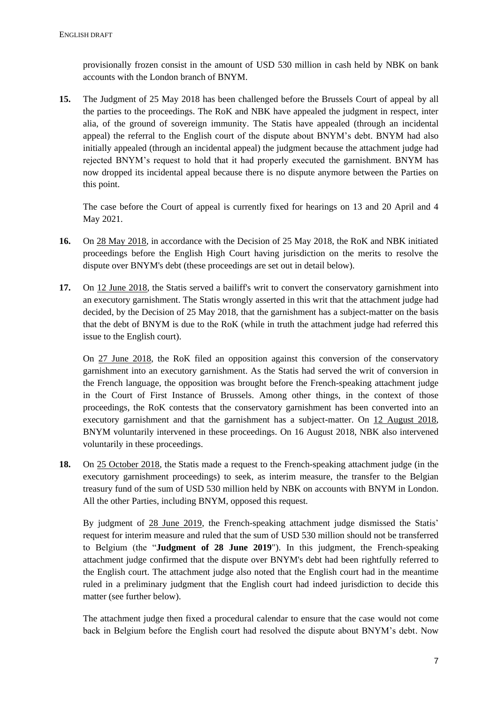provisionally frozen consist in the amount of USD 530 million in cash held by NBK on bank accounts with the London branch of BNYM.

**15.** The Judgment of 25 May 2018 has been challenged before the Brussels Court of appeal by all the parties to the proceedings. The RoK and NBK have appealed the judgment in respect, inter alia, of the ground of sovereign immunity. The Statis have appealed (through an incidental appeal) the referral to the English court of the dispute about BNYM's debt. BNYM had also initially appealed (through an incidental appeal) the judgment because the attachment judge had rejected BNYM's request to hold that it had properly executed the garnishment. BNYM has now dropped its incidental appeal because there is no dispute anymore between the Parties on this point.

The case before the Court of appeal is currently fixed for hearings on 13 and 20 April and 4 May 2021.

- **16.** On 28 May 2018, in accordance with the Decision of 25 May 2018, the RoK and NBK initiated proceedings before the English High Court having jurisdiction on the merits to resolve the dispute over BNYM's debt (these proceedings are set out in detail below).
- **17.** On 12 June 2018, the Statis served a bailiff's writ to convert the conservatory garnishment into an executory garnishment. The Statis wrongly asserted in this writ that the attachment judge had decided, by the Decision of 25 May 2018, that the garnishment has a subject-matter on the basis that the debt of BNYM is due to the RoK (while in truth the attachment judge had referred this issue to the English court).

On 27 June 2018, the RoK filed an opposition against this conversion of the conservatory garnishment into an executory garnishment. As the Statis had served the writ of conversion in the French language, the opposition was brought before the French-speaking attachment judge in the Court of First Instance of Brussels. Among other things, in the context of those proceedings, the RoK contests that the conservatory garnishment has been converted into an executory garnishment and that the garnishment has a subject-matter. On 12 August 2018, BNYM voluntarily intervened in these proceedings. On 16 August 2018, NBK also intervened voluntarily in these proceedings.

**18.** On 25 October 2018, the Statis made a request to the French-speaking attachment judge (in the executory garnishment proceedings) to seek, as interim measure, the transfer to the Belgian treasury fund of the sum of USD 530 million held by NBK on accounts with BNYM in London. All the other Parties, including BNYM, opposed this request.

By judgment of 28 June 2019, the French-speaking attachment judge dismissed the Statis' request for interim measure and ruled that the sum of USD 530 million should not be transferred to Belgium (the "**Judgment of 28 June 2019**"). In this judgment, the French-speaking attachment judge confirmed that the dispute over BNYM's debt had been rightfully referred to the English court. The attachment judge also noted that the English court had in the meantime ruled in a preliminary judgment that the English court had indeed jurisdiction to decide this matter (see further below).

The attachment judge then fixed a procedural calendar to ensure that the case would not come back in Belgium before the English court had resolved the dispute about BNYM's debt. Now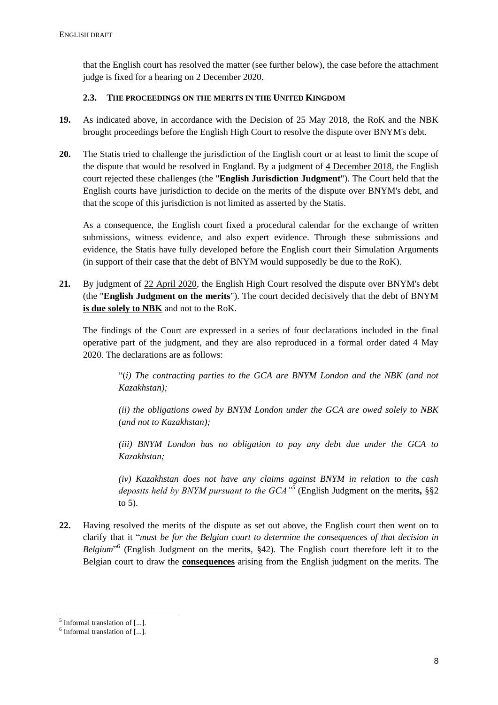that the English court has resolved the matter (see further below), the case before the attachment judge is fixed for a hearing on 2 December 2020.

### **2.3. THE PROCEEDINGS ON THE MERITS IN THE UNITED KINGDOM**

- **19.** As indicated above, in accordance with the Decision of 25 May 2018, the RoK and the NBK brought proceedings before the English High Court to resolve the dispute over BNYM's debt.
- **20.** The Statis tried to challenge the jurisdiction of the English court or at least to limit the scope of the dispute that would be resolved in England. By a judgment of 4 December 2018, the English court rejected these challenges (the "**English Jurisdiction Judgment**"). The Court held that the English courts have jurisdiction to decide on the merits of the dispute over BNYM's debt, and that the scope of this jurisdiction is not limited as asserted by the Statis.

As a consequence, the English court fixed a procedural calendar for the exchange of written submissions, witness evidence, and also expert evidence. Through these submissions and evidence, the Statis have fully developed before the English court their Simulation Arguments (in support of their case that the debt of BNYM would supposedly be due to the RoK).

**21.** By judgment of 22 April 2020, the English High Court resolved the dispute over BNYM's debt (the "**English Judgment on the merits**"). The court decided decisively that the debt of BNYM **is due solely to NBK** and not to the RoK.

The findings of the Court are expressed in a series of four declarations included in the final operative part of the judgment, and they are also reproduced in a formal order dated 4 May 2020. The declarations are as follows:

"(*i) The contracting parties to the GCA are BNYM London and the NBK (and not Kazakhstan);* 

*(ii) the obligations owed by BNYM London under the GCA are owed solely to NBK (and not to Kazakhstan);* 

*(iii) BNYM London has no obligation to pay any debt due under the GCA to Kazakhstan;* 

*(iv) Kazakhstan does not have any claims against BNYM in relation to the cash deposits held by BNYM pursuant to the GCA"<sup>5</sup>* (English Judgment on the merit**s,** §§2 to 5).

**22.** Having resolved the merits of the dispute as set out above, the English court then went on to clarify that it "*must be for the Belgian court to determine the consequences of that decision in Belgium*" 6 (English Judgment on the merit**s**, §42). The English court therefore left it to the Belgian court to draw the **consequences** arising from the English judgment on the merits. The

<sup>1</sup> <sup>5</sup> Informal translation of [...].

<sup>&</sup>lt;sup>6</sup> Informal translation of [...].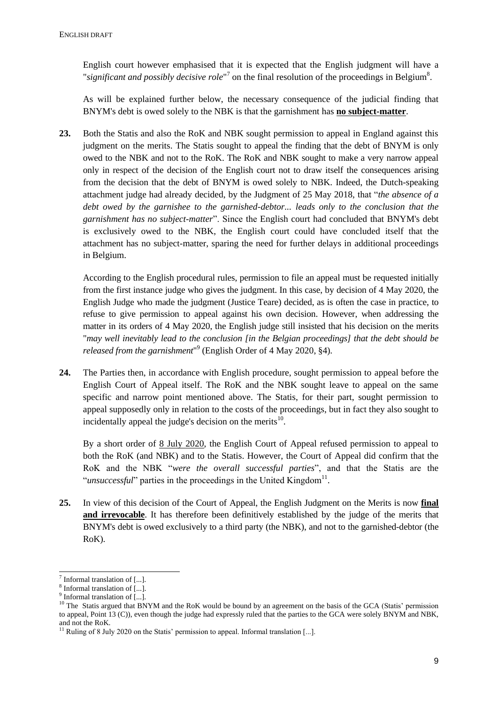English court however emphasised that it is expected that the English judgment will have a "significant and possibly decisive role<sup>"7</sup> on the final resolution of the proceedings in Belgium<sup>8</sup>.

As will be explained further below, the necessary consequence of the judicial finding that BNYM's debt is owed solely to the NBK is that the garnishment has **no subject-matter**.

**23.** Both the Statis and also the RoK and NBK sought permission to appeal in England against this judgment on the merits. The Statis sought to appeal the finding that the debt of BNYM is only owed to the NBK and not to the RoK. The RoK and NBK sought to make a very narrow appeal only in respect of the decision of the English court not to draw itself the consequences arising from the decision that the debt of BNYM is owed solely to NBK. Indeed, the Dutch-speaking attachment judge had already decided, by the Judgment of 25 May 2018, that "*the absence of a*  debt owed by the garnishee to the garnished-debtor... leads only to the conclusion that the *garnishment has no subject-matter*". Since the English court had concluded that BNYM's debt is exclusively owed to the NBK, the English court could have concluded itself that the attachment has no subject-matter, sparing the need for further delays in additional proceedings in Belgium.

According to the English procedural rules, permission to file an appeal must be requested initially from the first instance judge who gives the judgment. In this case, by decision of 4 May 2020, the English Judge who made the judgment (Justice Teare) decided, as is often the case in practice, to refuse to give permission to appeal against his own decision. However, when addressing the matter in its orders of 4 May 2020, the English judge still insisted that his decision on the merits "*may well inevitably lead to the conclusion [in the Belgian proceedings] that the debt should be released from the garnishment*" 9 (English Order of 4 May 2020, §4).

**24.** The Parties then, in accordance with English procedure, sought permission to appeal before the English Court of Appeal itself. The RoK and the NBK sought leave to appeal on the same specific and narrow point mentioned above. The Statis, for their part, sought permission to appeal supposedly only in relation to the costs of the proceedings, but in fact they also sought to incidentally appeal the judge's decision on the merits $^{10}$ .

By a short order of 8 July 2020, the English Court of Appeal refused permission to appeal to both the RoK (and NBK) and to the Statis. However, the Court of Appeal did confirm that the RoK and the NBK "*were the overall successful parties*", and that the Statis are the "*unsuccessful*" parties in the proceedings in the United Kingdom<sup>11</sup>.

**25.** In view of this decision of the Court of Appeal, the English Judgment on the Merits is now **final and irrevocable**. It has therefore been definitively established by the judge of the merits that BNYM's debt is owed exclusively to a third party (the NBK), and not to the garnished-debtor (the RoK).

1

 $^7$  Informal translation of [...].

<sup>8</sup> Informal translation of [...].

<sup>&</sup>lt;sup>9</sup> Informal translation of [...].

<sup>&</sup>lt;sup>10</sup> The Statis argued that BNYM and the RoK would be bound by an agreement on the basis of the GCA (Statis' permission to appeal, Point 13 (C)), even though the judge had expressly ruled that the parties to the GCA were solely BNYM and NBK, and not the RoK.

 $11$  Ruling of 8 July 2020 on the Statis' permission to appeal. Informal translation [...].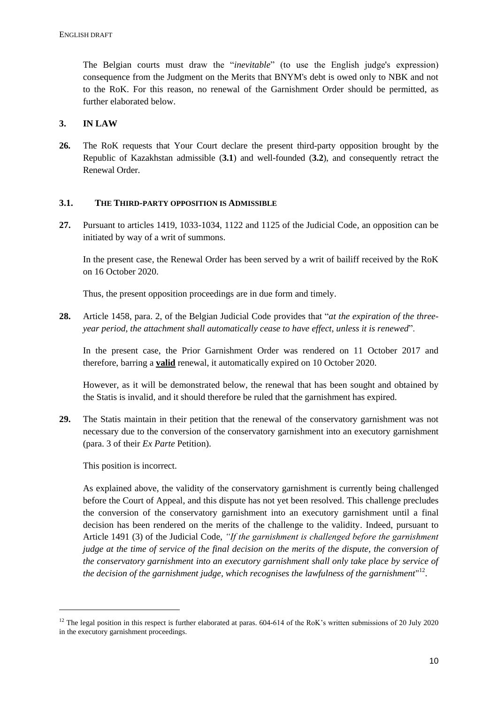The Belgian courts must draw the "*inevitable*" (to use the English judge's expression) consequence from the Judgment on the Merits that BNYM's debt is owed only to NBK and not to the RoK. For this reason, no renewal of the Garnishment Order should be permitted, as further elaborated below.

### **3. IN LAW**

**26.** The RoK requests that Your Court declare the present third-party opposition brought by the Republic of Kazakhstan admissible (**3.1**) and well-founded (**3.2**), and consequently retract the Renewal Order.

#### **3.1. THE THIRD-PARTY OPPOSITION IS ADMISSIBLE**

**27.** Pursuant to articles 1419, 1033-1034, 1122 and 1125 of the Judicial Code, an opposition can be initiated by way of a writ of summons.

In the present case, the Renewal Order has been served by a writ of bailiff received by the RoK on 16 October 2020.

Thus, the present opposition proceedings are in due form and timely.

**28.** Article 1458, para. 2, of the Belgian Judicial Code provides that "*at the expiration of the threeyear period, the attachment shall automatically cease to have effect, unless it is renewed*".

In the present case, the Prior Garnishment Order was rendered on 11 October 2017 and therefore, barring a **valid** renewal, it automatically expired on 10 October 2020.

However, as it will be demonstrated below, the renewal that has been sought and obtained by the Statis is invalid, and it should therefore be ruled that the garnishment has expired.

**29.** The Statis maintain in their petition that the renewal of the conservatory garnishment was not necessary due to the conversion of the conservatory garnishment into an executory garnishment (para. 3 of their *Ex Parte* Petition).

This position is incorrect.

1

As explained above, the validity of the conservatory garnishment is currently being challenged before the Court of Appeal, and this dispute has not yet been resolved. This challenge precludes the conversion of the conservatory garnishment into an executory garnishment until a final decision has been rendered on the merits of the challenge to the validity. Indeed, pursuant to Article 1491 (3) of the Judicial Code, *"If the garnishment is challenged before the garnishment judge at the time of service of the final decision on the merits of the dispute, the conversion of the conservatory garnishment into an executory garnishment shall only take place by service of the decision of the garnishment judge, which recognises the lawfulness of the garnishment*" 12 .

<sup>&</sup>lt;sup>12</sup> The legal position in this respect is further elaborated at paras.  $604-614$  of the RoK's written submissions of 20 July 2020 in the executory garnishment proceedings.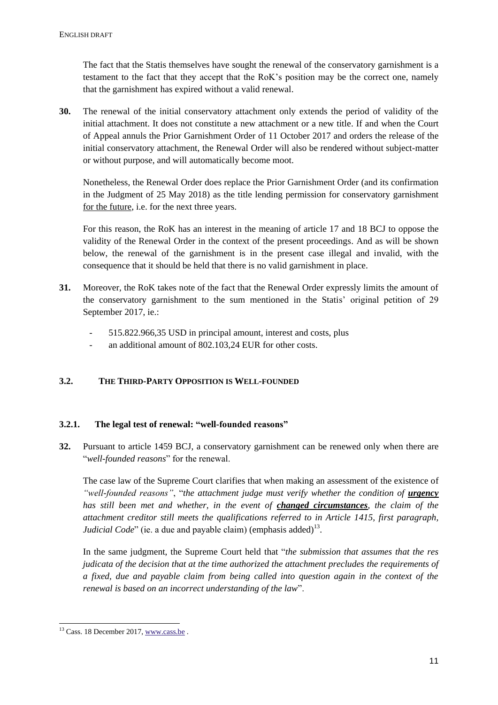The fact that the Statis themselves have sought the renewal of the conservatory garnishment is a testament to the fact that they accept that the RoK's position may be the correct one, namely that the garnishment has expired without a valid renewal.

**30.** The renewal of the initial conservatory attachment only extends the period of validity of the initial attachment. It does not constitute a new attachment or a new title. If and when the Court of Appeal annuls the Prior Garnishment Order of 11 October 2017 and orders the release of the initial conservatory attachment, the Renewal Order will also be rendered without subject-matter or without purpose, and will automatically become moot.

Nonetheless, the Renewal Order does replace the Prior Garnishment Order (and its confirmation in the Judgment of 25 May 2018) as the title lending permission for conservatory garnishment for the future, i.e. for the next three years.

For this reason, the RoK has an interest in the meaning of article 17 and 18 BCJ to oppose the validity of the Renewal Order in the context of the present proceedings. And as will be shown below, the renewal of the garnishment is in the present case illegal and invalid, with the consequence that it should be held that there is no valid garnishment in place.

- **31.** Moreover, the RoK takes note of the fact that the Renewal Order expressly limits the amount of the conservatory garnishment to the sum mentioned in the Statis' original petition of 29 September 2017, ie.:
	- 515.822.966,35 USD in principal amount, interest and costs, plus
	- an additional amount of 802.103,24 EUR for other costs.

## **3.2. THE THIRD-PARTY OPPOSITION IS WELL-FOUNDED**

#### **3.2.1. The legal test of renewal: "well-founded reasons"**

**32.** Pursuant to article 1459 BCJ, a conservatory garnishment can be renewed only when there are "*well-founded reasons*" for the renewal.

The case law of the Supreme Court clarifies that when making an assessment of the existence of "well-founded reasons", "the attachment judge must verify whether the condition of **urgency** *has still been met and whether, in the event of changed circumstances, the claim of the attachment creditor still meets the qualifications referred to in Article 1415, first paragraph, Judicial Code*" (ie. a due and payable claim) (emphasis added)<sup>13</sup>.

In the same judgment, the Supreme Court held that "*the submission that assumes that the res judicata of the decision that at the time authorized the attachment precludes the requirements of a fixed, due and payable claim from being called into question again in the context of the renewal is based on an incorrect understanding of the law*".

<sup>-</sup> $13$  Cass. 18 December 2017[, www.cass.be](http://www.cass.be/).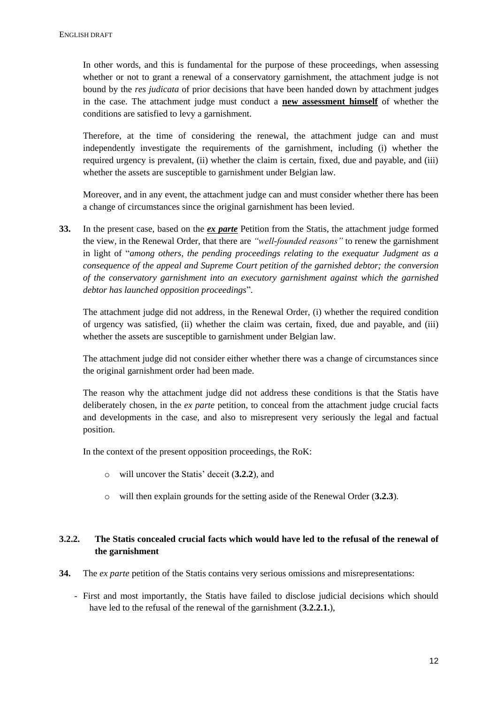In other words, and this is fundamental for the purpose of these proceedings, when assessing whether or not to grant a renewal of a conservatory garnishment, the attachment judge is not bound by the *res judicata* of prior decisions that have been handed down by attachment judges in the case. The attachment judge must conduct a **new assessment himself** of whether the conditions are satisfied to levy a garnishment.

Therefore, at the time of considering the renewal, the attachment judge can and must independently investigate the requirements of the garnishment, including (i) whether the required urgency is prevalent, (ii) whether the claim is certain, fixed, due and payable, and (iii) whether the assets are susceptible to garnishment under Belgian law.

Moreover, and in any event, the attachment judge can and must consider whether there has been a change of circumstances since the original garnishment has been levied.

**33.** In the present case, based on the *ex parte* Petition from the Statis, the attachment judge formed the view, in the Renewal Order, that there are *"well-founded reasons"* to renew the garnishment in light of "*among others, the pending proceedings relating to the exequatur Judgment as a consequence of the appeal and Supreme Court petition of the garnished debtor; the conversion of the conservatory garnishment into an executory garnishment against which the garnished debtor has launched opposition proceedings*".

The attachment judge did not address, in the Renewal Order, (i) whether the required condition of urgency was satisfied, (ii) whether the claim was certain, fixed, due and payable, and (iii) whether the assets are susceptible to garnishment under Belgian law.

The attachment judge did not consider either whether there was a change of circumstances since the original garnishment order had been made.

The reason why the attachment judge did not address these conditions is that the Statis have deliberately chosen, in the *ex parte* petition, to conceal from the attachment judge crucial facts and developments in the case, and also to misrepresent very seriously the legal and factual position.

In the context of the present opposition proceedings, the RoK:

- o will uncover the Statis' deceit (**3.2.2**), and
- o will then explain grounds for the setting aside of the Renewal Order (**3.2.3**).

## **3.2.2. The Statis concealed crucial facts which would have led to the refusal of the renewal of the garnishment**

- **34.** The *ex parte* petition of the Statis contains very serious omissions and misrepresentations:
	- First and most importantly, the Statis have failed to disclose judicial decisions which should have led to the refusal of the renewal of the garnishment (**3.2.2.1.**),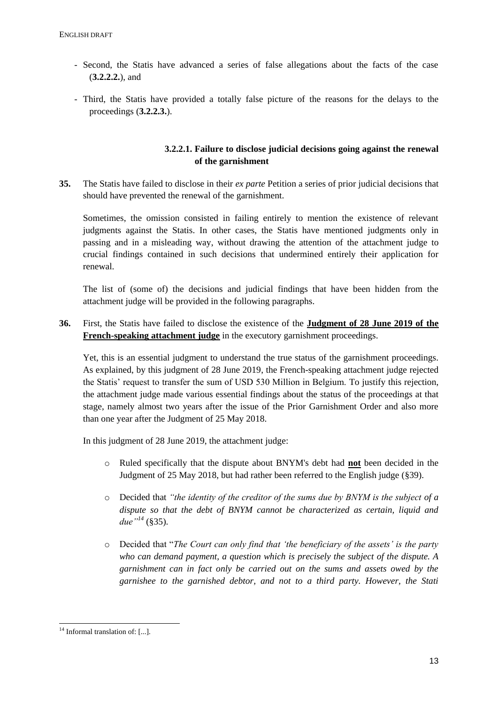- Second, the Statis have advanced a series of false allegations about the facts of the case (**3.2.2.2.**), and
- Third, the Statis have provided a totally false picture of the reasons for the delays to the proceedings (**3.2.2.3.**).

## **3.2.2.1. Failure to disclose judicial decisions going against the renewal of the garnishment**

**35.** The Statis have failed to disclose in their *ex parte* Petition a series of prior judicial decisions that should have prevented the renewal of the garnishment.

Sometimes, the omission consisted in failing entirely to mention the existence of relevant judgments against the Statis. In other cases, the Statis have mentioned judgments only in passing and in a misleading way, without drawing the attention of the attachment judge to crucial findings contained in such decisions that undermined entirely their application for renewal.

The list of (some of) the decisions and judicial findings that have been hidden from the attachment judge will be provided in the following paragraphs.

**36.** First, the Statis have failed to disclose the existence of the **Judgment of 28 June 2019 of the French-speaking attachment judge** in the executory garnishment proceedings.

Yet, this is an essential judgment to understand the true status of the garnishment proceedings. As explained, by this judgment of 28 June 2019, the French-speaking attachment judge rejected the Statis' request to transfer the sum of USD 530 Million in Belgium. To justify this rejection, the attachment judge made various essential findings about the status of the proceedings at that stage, namely almost two years after the issue of the Prior Garnishment Order and also more than one year after the Judgment of 25 May 2018.

In this judgment of 28 June 2019, the attachment judge:

- o Ruled specifically that the dispute about BNYM's debt had **not** been decided in the Judgment of 25 May 2018, but had rather been referred to the English judge (§39).
- o Decided that *"the identity of the creditor of the sums due by BNYM is the subject of a dispute so that the debt of BNYM cannot be characterized as certain, liquid and due"<sup>14</sup>* (§35).
- o Decided that "*The Court can only find that 'the beneficiary of the assets' is the party who can demand payment, a question which is precisely the subject of the dispute. A garnishment can in fact only be carried out on the sums and assets owed by the garnishee to the garnished debtor, and not to a third party. However, the Stati*

<sup>-</sup><sup>14</sup> Informal translation of: [...]*.*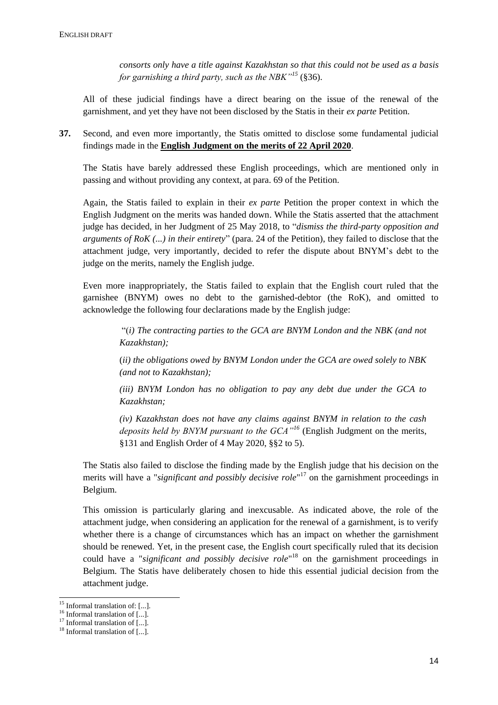*consorts only have a title against Kazakhstan so that this could not be used as a basis for garnishing a third party, such as the NBK"<sup>15</sup>* (§36).

All of these judicial findings have a direct bearing on the issue of the renewal of the garnishment, and yet they have not been disclosed by the Statis in their *ex parte* Petition.

**37.** Second, and even more importantly, the Statis omitted to disclose some fundamental judicial findings made in the **English Judgment on the merits of 22 April 2020**.

The Statis have barely addressed these English proceedings, which are mentioned only in passing and without providing any context, at para. 69 of the Petition.

Again, the Statis failed to explain in their *ex parte* Petition the proper context in which the English Judgment on the merits was handed down. While the Statis asserted that the attachment judge has decided, in her Judgment of 25 May 2018, to "*dismiss the third-party opposition and arguments of RoK (...) in their entirety*" (para. 24 of the Petition), they failed to disclose that the attachment judge, very importantly, decided to refer the dispute about BNYM's debt to the judge on the merits, namely the English judge.

Even more inappropriately, the Statis failed to explain that the English court ruled that the garnishee (BNYM) owes no debt to the garnished-debtor (the RoK), and omitted to acknowledge the following four declarations made by the English judge:

> "(*i) The contracting parties to the GCA are BNYM London and the NBK (and not Kazakhstan);*

> (*ii) the obligations owed by BNYM London under the GCA are owed solely to NBK (and not to Kazakhstan);*

> *(iii) BNYM London has no obligation to pay any debt due under the GCA to Kazakhstan;*

> *(iv) Kazakhstan does not have any claims against BNYM in relation to the cash deposits held by BNYM pursuant to the GCA"<sup>16</sup>* (English Judgment on the merits, §131 and English Order of 4 May 2020, §§2 to 5).

The Statis also failed to disclose the finding made by the English judge that his decision on the merits will have a "*significant and possibly decisive role*" <sup>17</sup> on the garnishment proceedings in Belgium.

This omission is particularly glaring and inexcusable. As indicated above, the role of the attachment judge, when considering an application for the renewal of a garnishment, is to verify whether there is a change of circumstances which has an impact on whether the garnishment should be renewed. Yet, in the present case, the English court specifically ruled that its decision could have a "*significant and possibly decisive role*" <sup>18</sup> on the garnishment proceedings in Belgium. The Statis have deliberately chosen to hide this essential judicial decision from the attachment judge.

1

<sup>15</sup> Informal translation of: [...]*.*

<sup>&</sup>lt;sup>16</sup> Informal translation of [...].

 $17$  Informal translation of [...].

 $18$  Informal translation of [...].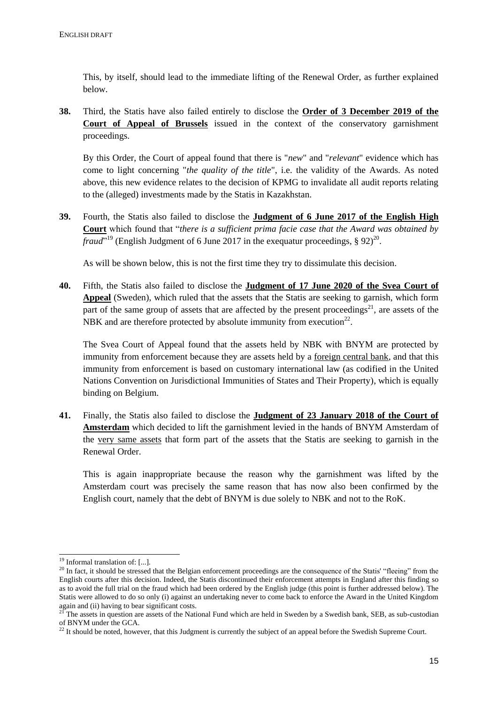This, by itself, should lead to the immediate lifting of the Renewal Order, as further explained below.

**38.** Third, the Statis have also failed entirely to disclose the **Order of 3 December 2019 of the Court of Appeal of Brussels** issued in the context of the conservatory garnishment proceedings.

By this Order, the Court of appeal found that there is "*new*" and "*relevant*" evidence which has come to light concerning "*the quality of the title*", i.e. the validity of the Awards. As noted above, this new evidence relates to the decision of KPMG to invalidate all audit reports relating to the (alleged) investments made by the Statis in Kazakhstan.

**39.** Fourth, the Statis also failed to disclose the **Judgment of 6 June 2017 of the English High Court** which found that "*there is a sufficient prima facie case that the Award was obtained by fraud*<sup>"19</sup> (English Judgment of 6 June 2017 in the exequatur proceedings, § 92)<sup>20</sup>.

As will be shown below, this is not the first time they try to dissimulate this decision.

**40.** Fifth, the Statis also failed to disclose the **Judgment of 17 June 2020 of the Svea Court of Appeal** (Sweden), which ruled that the assets that the Statis are seeking to garnish, which form part of the same group of assets that are affected by the present proceedings<sup>21</sup>, are assets of the NBK and are therefore protected by absolute immunity from execution<sup>22</sup>.

The Svea Court of Appeal found that the assets held by NBK with BNYM are protected by immunity from enforcement because they are assets held by a foreign central bank, and that this immunity from enforcement is based on customary international law (as codified in the United Nations Convention on Jurisdictional Immunities of States and Their Property), which is equally binding on Belgium.

**41.** Finally, the Statis also failed to disclose the **Judgment of 23 January 2018 of the Court of Amsterdam** which decided to lift the garnishment levied in the hands of BNYM Amsterdam of the very same assets that form part of the assets that the Statis are seeking to garnish in the Renewal Order.

This is again inappropriate because the reason why the garnishment was lifted by the Amsterdam court was precisely the same reason that has now also been confirmed by the English court, namely that the debt of BNYM is due solely to NBK and not to the RoK.

-

<sup>19</sup> Informal translation of: [...]*.*

<sup>&</sup>lt;sup>20</sup> In fact, it should be stressed that the Belgian enforcement proceedings are the consequence of the Statis' "fleeing" from the English courts after this decision. Indeed, the Statis discontinued their enforcement attempts in England after this finding so as to avoid the full trial on the fraud which had been ordered by the English judge (this point is further addressed below). The Statis were allowed to do so only (i) against an undertaking never to come back to enforce the Award in the United Kingdom again and (ii) having to bear significant costs.

<sup>&</sup>lt;sup>21</sup> The assets in question are assets of the National Fund which are held in Sweden by a Swedish bank, SEB, as sub-custodian of BNYM under the GCA.

 $^{22}$  It should be noted, however, that this Judgment is currently the subject of an appeal before the Swedish Supreme Court.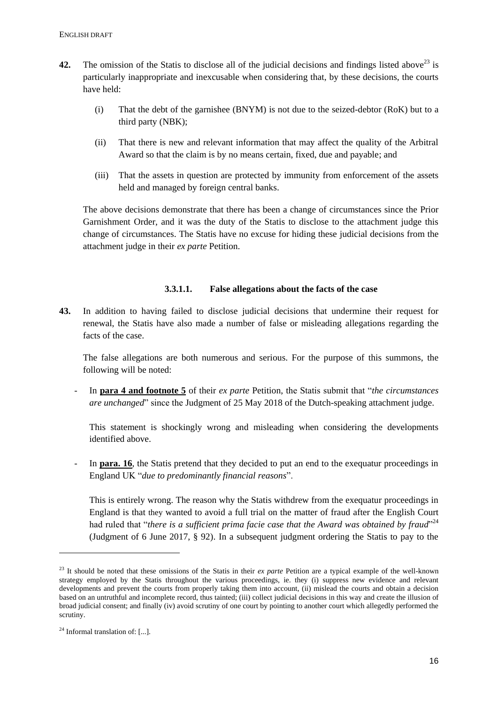- **42.** The omission of the Statis to disclose all of the judicial decisions and findings listed above<sup>23</sup> is particularly inappropriate and inexcusable when considering that, by these decisions, the courts have held:
	- (i) That the debt of the garnishee (BNYM) is not due to the seized-debtor (RoK) but to a third party (NBK);
	- (ii) That there is new and relevant information that may affect the quality of the Arbitral Award so that the claim is by no means certain, fixed, due and payable; and
	- (iii) That the assets in question are protected by immunity from enforcement of the assets held and managed by foreign central banks.

The above decisions demonstrate that there has been a change of circumstances since the Prior Garnishment Order, and it was the duty of the Statis to disclose to the attachment judge this change of circumstances. The Statis have no excuse for hiding these judicial decisions from the attachment judge in their *ex parte* Petition.

### **3.3.1.1. False allegations about the facts of the case**

**43.** In addition to having failed to disclose judicial decisions that undermine their request for renewal, the Statis have also made a number of false or misleading allegations regarding the facts of the case.

The false allegations are both numerous and serious. For the purpose of this summons, the following will be noted:

- In **para 4 and footnote 5** of their *ex parte* Petition, the Statis submit that "*the circumstances are unchanged*" since the Judgment of 25 May 2018 of the Dutch-speaking attachment judge.

This statement is shockingly wrong and misleading when considering the developments identified above.

In **para. 16**, the Statis pretend that they decided to put an end to the exequatur proceedings in England UK "*due to predominantly financial reasons*".

This is entirely wrong. The reason why the Statis withdrew from the exequatur proceedings in England is that they wanted to avoid a full trial on the matter of fraud after the English Court had ruled that "*there is a sufficient prima facie case that the Award was obtained by fraud*<sup>224</sup> (Judgment of 6 June 2017, § 92). In a subsequent judgment ordering the Statis to pay to the

1

<sup>&</sup>lt;sup>23</sup> It should be noted that these omissions of the Statis in their *ex parte* Petition are a typical example of the well-known strategy employed by the Statis throughout the various proceedings, ie. they (i) suppress new evidence and relevant developments and prevent the courts from properly taking them into account, (ii) mislead the courts and obtain a decision based on an untruthful and incomplete record, thus tainted; (iii) collect judicial decisions in this way and create the illusion of broad judicial consent; and finally (iv) avoid scrutiny of one court by pointing to another court which allegedly performed the scrutiny.

<sup>24</sup> Informal translation of: [...]*.*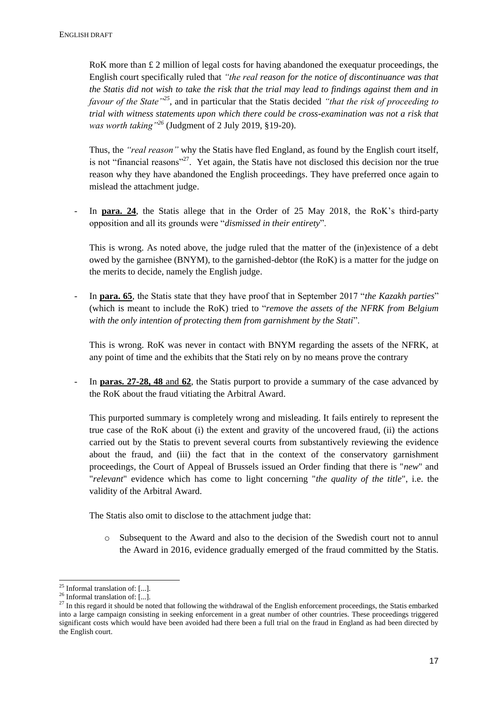RoK more than  $\pounds$  2 million of legal costs for having abandoned the exequatur proceedings, the English court specifically ruled that *"the real reason for the notice of discontinuance was that the Statis did not wish to take the risk that the trial may lead to findings against them and in favour of the State"<sup>25</sup>*, and in particular that the Statis decided *"that the risk of proceeding to trial with witness statements upon which there could be cross-examination was not a risk that was worth taking"<sup>26</sup>* (Judgment of 2 July 2019, §19-20).

Thus, the *"real reason"* why the Statis have fled England, as found by the English court itself, is not "financial reasons"<sup>27</sup>. Yet again, the Statis have not disclosed this decision nor the true reason why they have abandoned the English proceedings. They have preferred once again to mislead the attachment judge.

- In **para. 24**, the Statis allege that in the Order of 25 May 2018, the RoK's third-party opposition and all its grounds were "*dismissed in their entirety*".

This is wrong. As noted above, the judge ruled that the matter of the (in)existence of a debt owed by the garnishee (BNYM), to the garnished-debtor (the RoK) is a matter for the judge on the merits to decide, namely the English judge.

- In **para. 65**, the Statis state that they have proof that in September 2017 "*the Kazakh parties*" (which is meant to include the RoK) tried to "*remove the assets of the NFRK from Belgium with the only intention of protecting them from garnishment by the Stati*".

This is wrong. RoK was never in contact with BNYM regarding the assets of the NFRK, at any point of time and the exhibits that the Stati rely on by no means prove the contrary

- In **paras. 27-28, 48** and **62**, the Statis purport to provide a summary of the case advanced by the RoK about the fraud vitiating the Arbitral Award.

This purported summary is completely wrong and misleading. It fails entirely to represent the true case of the RoK about (i) the extent and gravity of the uncovered fraud, (ii) the actions carried out by the Statis to prevent several courts from substantively reviewing the evidence about the fraud, and (iii) the fact that in the context of the conservatory garnishment proceedings, the Court of Appeal of Brussels issued an Order finding that there is "*new*" and "*relevant*" evidence which has come to light concerning "*the quality of the title*", i.e. the validity of the Arbitral Award.

The Statis also omit to disclose to the attachment judge that:

o Subsequent to the Award and also to the decision of the Swedish court not to annul the Award in 2016, evidence gradually emerged of the fraud committed by the Statis.

-

<sup>25</sup> Informal translation of: [...]*.*

<sup>26</sup> Informal translation of: [...]*.*

 $27$  In this regard it should be noted that following the withdrawal of the English enforcement proceedings, the Statis embarked into a large campaign consisting in seeking enforcement in a great number of other countries. These proceedings triggered significant costs which would have been avoided had there been a full trial on the fraud in England as had been directed by the English court.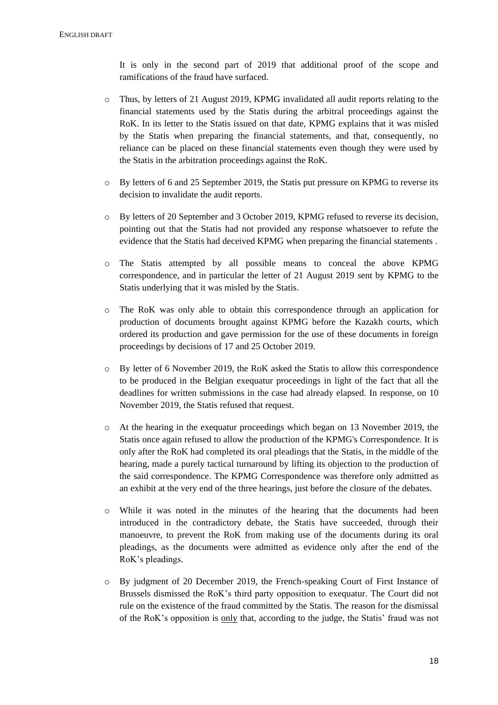It is only in the second part of 2019 that additional proof of the scope and ramifications of the fraud have surfaced.

- o Thus, by letters of 21 August 2019, KPMG invalidated all audit reports relating to the financial statements used by the Statis during the arbitral proceedings against the RoK. In its letter to the Statis issued on that date, KPMG explains that it was misled by the Statis when preparing the financial statements, and that, consequently, no reliance can be placed on these financial statements even though they were used by the Statis in the arbitration proceedings against the RoK.
- o By letters of 6 and 25 September 2019, the Statis put pressure on KPMG to reverse its decision to invalidate the audit reports.
- o By letters of 20 September and 3 October 2019, KPMG refused to reverse its decision, pointing out that the Statis had not provided any response whatsoever to refute the evidence that the Statis had deceived KPMG when preparing the financial statements .
- o The Statis attempted by all possible means to conceal the above KPMG correspondence, and in particular the letter of 21 August 2019 sent by KPMG to the Statis underlying that it was misled by the Statis.
- o The RoK was only able to obtain this correspondence through an application for production of documents brought against KPMG before the Kazakh courts, which ordered its production and gave permission for the use of these documents in foreign proceedings by decisions of 17 and 25 October 2019.
- o By letter of 6 November 2019, the RoK asked the Statis to allow this correspondence to be produced in the Belgian exequatur proceedings in light of the fact that all the deadlines for written submissions in the case had already elapsed. In response, on 10 November 2019, the Statis refused that request.
- o At the hearing in the exequatur proceedings which began on 13 November 2019, the Statis once again refused to allow the production of the KPMG's Correspondence. It is only after the RoK had completed its oral pleadings that the Statis, in the middle of the hearing, made a purely tactical turnaround by lifting its objection to the production of the said correspondence. The KPMG Correspondence was therefore only admitted as an exhibit at the very end of the three hearings, just before the closure of the debates.
- o While it was noted in the minutes of the hearing that the documents had been introduced in the contradictory debate, the Statis have succeeded, through their manoeuvre, to prevent the RoK from making use of the documents during its oral pleadings, as the documents were admitted as evidence only after the end of the RoK's pleadings.
- o By judgment of 20 December 2019, the French-speaking Court of First Instance of Brussels dismissed the RoK's third party opposition to exequatur. The Court did not rule on the existence of the fraud committed by the Statis. The reason for the dismissal of the RoK's opposition is only that, according to the judge, the Statis' fraud was not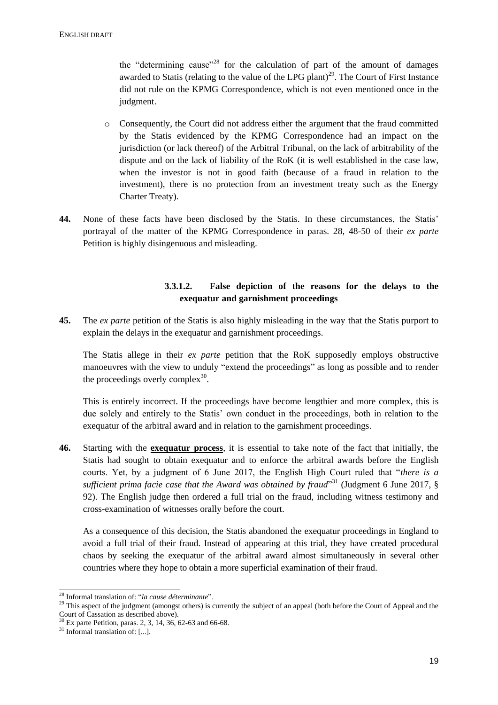the "determining cause"<sup>28</sup> for the calculation of part of the amount of damages awarded to Statis (relating to the value of the LPG plant) $^{29}$ . The Court of First Instance did not rule on the KPMG Correspondence, which is not even mentioned once in the judgment.

- o Consequently, the Court did not address either the argument that the fraud committed by the Statis evidenced by the KPMG Correspondence had an impact on the jurisdiction (or lack thereof) of the Arbitral Tribunal, on the lack of arbitrability of the dispute and on the lack of liability of the RoK (it is well established in the case law, when the investor is not in good faith (because of a fraud in relation to the investment), there is no protection from an investment treaty such as the Energy Charter Treaty).
- **44.** None of these facts have been disclosed by the Statis. In these circumstances, the Statis' portrayal of the matter of the KPMG Correspondence in paras. 28, 48-50 of their *ex parte* Petition is highly disingenuous and misleading.

## **3.3.1.2. False depiction of the reasons for the delays to the exequatur and garnishment proceedings**

**45.** The *ex parte* petition of the Statis is also highly misleading in the way that the Statis purport to explain the delays in the exequatur and garnishment proceedings.

The Statis allege in their *ex parte* petition that the RoK supposedly employs obstructive manoeuvres with the view to unduly "extend the proceedings" as long as possible and to render the proceedings overly complex $^{30}$ .

This is entirely incorrect. If the proceedings have become lengthier and more complex, this is due solely and entirely to the Statis' own conduct in the proceedings, both in relation to the exequatur of the arbitral award and in relation to the garnishment proceedings.

**46.** Starting with the **exequatur process**, it is essential to take note of the fact that initially, the Statis had sought to obtain exequatur and to enforce the arbitral awards before the English courts. Yet, by a judgment of 6 June 2017, the English High Court ruled that "*there is a*  sufficient prima facie case that the Award was obtained by fraud<sup>331</sup> (Judgment 6 June 2017, § 92). The English judge then ordered a full trial on the fraud, including witness testimony and cross-examination of witnesses orally before the court.

As a consequence of this decision, the Statis abandoned the exequatur proceedings in England to avoid a full trial of their fraud. Instead of appearing at this trial, they have created procedural chaos by seeking the exequatur of the arbitral award almost simultaneously in several other countries where they hope to obtain a more superficial examination of their fraud.

<sup>1</sup> <sup>28</sup> Informal translation of: "*la cause déterminante*".

<sup>&</sup>lt;sup>29</sup> This aspect of the judgment (amongst others) is currently the subject of an appeal (both before the Court of Appeal and the Court of Cassation as described above).

 $30$  Ex parte Petition, paras. 2, 3, 14, 36, 62-63 and 66-68.

<sup>31</sup> Informal translation of: [...]*.*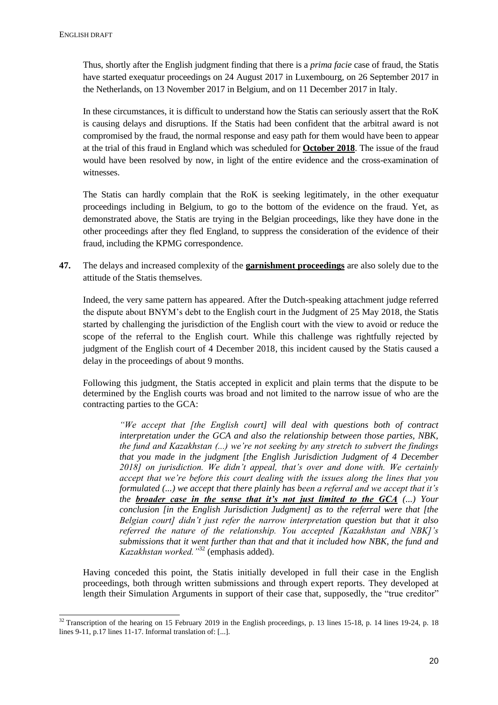Thus, shortly after the English judgment finding that there is a *prima facie* case of fraud, the Statis have started exequatur proceedings on 24 August 2017 in Luxembourg, on 26 September 2017 in the Netherlands, on 13 November 2017 in Belgium, and on 11 December 2017 in Italy.

In these circumstances, it is difficult to understand how the Statis can seriously assert that the RoK is causing delays and disruptions. If the Statis had been confident that the arbitral award is not compromised by the fraud, the normal response and easy path for them would have been to appear at the trial of this fraud in England which was scheduled for **October 2018**. The issue of the fraud would have been resolved by now, in light of the entire evidence and the cross-examination of witnesses.

The Statis can hardly complain that the RoK is seeking legitimately, in the other exequatur proceedings including in Belgium, to go to the bottom of the evidence on the fraud. Yet, as demonstrated above, the Statis are trying in the Belgian proceedings, like they have done in the other proceedings after they fled England, to suppress the consideration of the evidence of their fraud, including the KPMG correspondence.

**47.** The delays and increased complexity of the **garnishment proceedings** are also solely due to the attitude of the Statis themselves.

Indeed, the very same pattern has appeared. After the Dutch-speaking attachment judge referred the dispute about BNYM's debt to the English court in the Judgment of 25 May 2018, the Statis started by challenging the jurisdiction of the English court with the view to avoid or reduce the scope of the referral to the English court. While this challenge was rightfully rejected by judgment of the English court of 4 December 2018, this incident caused by the Statis caused a delay in the proceedings of about 9 months.

Following this judgment, the Statis accepted in explicit and plain terms that the dispute to be determined by the English courts was broad and not limited to the narrow issue of who are the contracting parties to the GCA:

*"We accept that [the English court] will deal with questions both of contract interpretation under the GCA and also the relationship between those parties, NBK, the fund and Kazakhstan (...) we're not seeking by any stretch to subvert the findings that you made in the judgment [the English Jurisdiction Judgment of 4 December 2018] on jurisdiction. We didn't appeal, that's over and done with. We certainly accept that we're before this court dealing with the issues along the lines that you formulated (...) we accept that there plainly has been a referral and we accept that it's the broader case in the sense that it's not just limited to the GCA (...) Your conclusion [in the English Jurisdiction Judgment] as to the referral were that [the Belgian court] didn't just refer the narrow interpretation question but that it also referred the nature of the relationship. You accepted [Kazakhstan and NBK]'s submissions that it went further than that and that it included how NBK, the fund and Kazakhstan worked."*<sup>32</sup> (emphasis added).

Having conceded this point, the Statis initially developed in full their case in the English proceedings, both through written submissions and through expert reports. They developed at length their Simulation Arguments in support of their case that, supposedly, the "true creditor"

<sup>1</sup>  $32$  Transcription of the hearing on 15 February 2019 in the English proceedings, p. 13 lines 15-18, p. 14 lines 19-24, p. 18 lines 9-11, p.17 lines 11-17. Informal translation of: [...].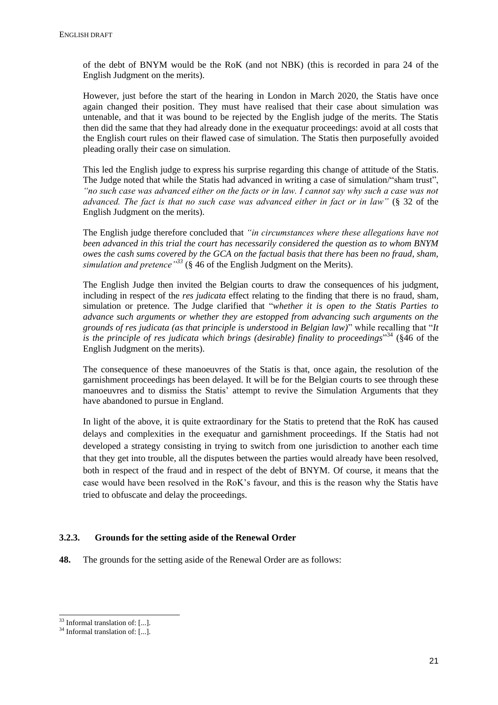of the debt of BNYM would be the RoK (and not NBK) (this is recorded in para 24 of the English Judgment on the merits).

However, just before the start of the hearing in London in March 2020, the Statis have once again changed their position. They must have realised that their case about simulation was untenable, and that it was bound to be rejected by the English judge of the merits. The Statis then did the same that they had already done in the exequatur proceedings: avoid at all costs that the English court rules on their flawed case of simulation. The Statis then purposefully avoided pleading orally their case on simulation.

This led the English judge to express his surprise regarding this change of attitude of the Statis. The Judge noted that while the Statis had advanced in writing a case of simulation/"sham trust", *"no such case was advanced either on the facts or in law. I cannot say why such a case was not advanced. The fact is that no such case was advanced either in fact or in law"* (§ 32 of the English Judgment on the merits).

The English judge therefore concluded that *"in circumstances where these allegations have not been advanced in this trial the court has necessarily considered the question as to whom BNYM owes the cash sums covered by the GCA on the factual basis that there has been no fraud, sham, simulation and pretence"<sup>33</sup>* (§ 46 of the English Judgment on the Merits).

The English Judge then invited the Belgian courts to draw the consequences of his judgment, including in respect of the *res judicata* effect relating to the finding that there is no fraud, sham, simulation or pretence. The Judge clarified that "*whether it is open to the Statis Parties to advance such arguments or whether they are estopped from advancing such arguments on the grounds of res judicata (as that principle is understood in Belgian law)*" while recalling that "*It is the principle of res judicata which brings (desirable) finality to proceedings*" <sup>34</sup> (§46 of the English Judgment on the merits).

The consequence of these manoeuvres of the Statis is that, once again, the resolution of the garnishment proceedings has been delayed. It will be for the Belgian courts to see through these manoeuvres and to dismiss the Statis' attempt to revive the Simulation Arguments that they have abandoned to pursue in England.

In light of the above, it is quite extraordinary for the Statis to pretend that the RoK has caused delays and complexities in the exequatur and garnishment proceedings. If the Statis had not developed a strategy consisting in trying to switch from one jurisdiction to another each time that they get into trouble, all the disputes between the parties would already have been resolved, both in respect of the fraud and in respect of the debt of BNYM. Of course, it means that the case would have been resolved in the RoK's favour, and this is the reason why the Statis have tried to obfuscate and delay the proceedings.

#### **3.2.3. Grounds for the setting aside of the Renewal Order**

**48.** The grounds for the setting aside of the Renewal Order are as follows:

<sup>1</sup>  $33$  Informal translation of: [...].

<sup>34</sup> Informal translation of: [...].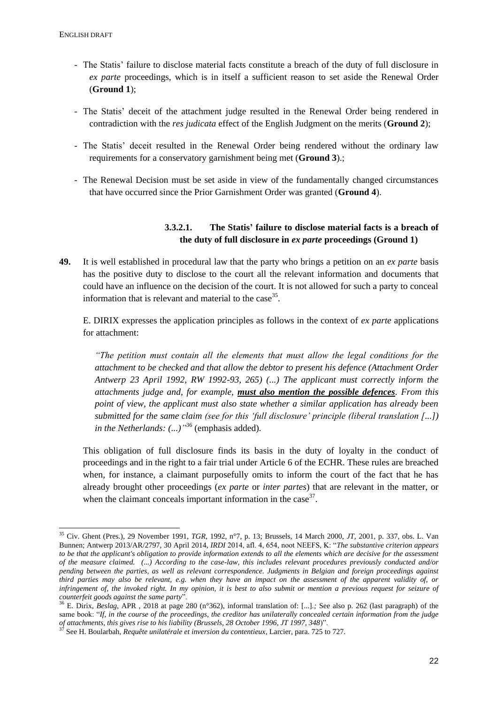- The Statis' failure to disclose material facts constitute a breach of the duty of full disclosure in *ex parte* proceedings, which is in itself a sufficient reason to set aside the Renewal Order (**Ground 1**);
- The Statis' deceit of the attachment judge resulted in the Renewal Order being rendered in contradiction with the *res judicata* effect of the English Judgment on the merits (**Ground 2**);
- The Statis' deceit resulted in the Renewal Order being rendered without the ordinary law requirements for a conservatory garnishment being met (**Ground 3**).;
- The Renewal Decision must be set aside in view of the fundamentally changed circumstances that have occurred since the Prior Garnishment Order was granted (**Ground 4**).

## **3.3.2.1. The Statis' failure to disclose material facts is a breach of the duty of full disclosure in** *ex parte* **proceedings (Ground 1)**

**49.** It is well established in procedural law that the party who brings a petition on an *ex parte* basis has the positive duty to disclose to the court all the relevant information and documents that could have an influence on the decision of the court. It is not allowed for such a party to conceal information that is relevant and material to the case<sup>35</sup>.

E. DIRIX expresses the application principles as follows in the context of *ex parte* applications for attachment:

*"The petition must contain all the elements that must allow the legal conditions for the attachment to be checked and that allow the debtor to present his defence (Attachment Order Antwerp 23 April 1992, RW 1992-93, 265) (...) The applicant must correctly inform the attachments judge and, for example, must also mention the possible defences. From this point of view, the applicant must also state whether a similar application has already been submitted for the same claim (see for this 'full disclosure' principle (liberal translation [...]) in the Netherlands: (...)"* <sup>36</sup> (emphasis added)*.*

This obligation of full disclosure finds its basis in the duty of loyalty in the conduct of proceedings and in the right to a fair trial under Article 6 of the ECHR. These rules are breached when, for instance, a claimant purposefully omits to inform the court of the fact that he has already brought other proceedings (*ex parte* or *inter partes*) that are relevant in the matter, or when the claimant conceals important information in the case  $37$ .

<sup>1</sup> <sup>35</sup> Civ. Ghent (Pres.), 29 November 1991, *TGR*, 1992, n°7, p. 13; Brussels, 14 March 2000, *JT,* 2001, p. 337, obs. L. Van Bunnen; Antwerp 2013/AR/2797, 30 April 2014, *IRDI* 2014, afl. 4, 654, noot NEEFS, K: "*The substantive criterion appears to be that the applicant's obligation to provide information extends to all the elements which are decisive for the assessment of the measure claimed. (...) According to the case-law, this includes relevant procedures previously conducted and/or pending between the parties, as well as relevant correspondence. Judgments in Belgian and foreign proceedings against third parties may also be relevant, e.g. when they have an impact on the assessment of the apparent validity of, or infringement of, the invoked right. In my opinion, it is best to also submit or mention a previous request for seizure of counterfeit goods against the same party*".

<sup>36</sup> E. Dirix, *Beslag*, APR , 2018 at page 280 (n°362), informal translation of: [...].*;* See also p. 262 (last paragraph) of the same book: "*If, in the course of the proceedings, the creditor has unilaterally concealed certain information from the judge of attachments, this gives rise to his liability (Brussels, 28 October 1996, JT 1997, 348*)".

<sup>37</sup> See H. Boularbah, *Requête unilatérale et inversion du contentieux*, Larcier, para. 725 to 727.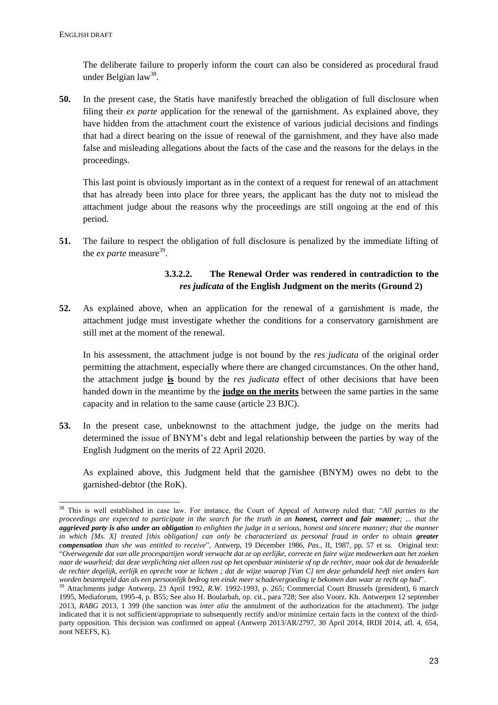1

The deliberate failure to properly inform the court can also be considered as procedural fraud under Belgian law<sup>38</sup>.

**50.** In the present case, the Statis have manifestly breached the obligation of full disclosure when filing their *ex parte* application for the renewal of the garnishment. As explained above, they have hidden from the attachment court the existence of various judicial decisions and findings that had a direct bearing on the issue of renewal of the garnishment, and they have also made false and misleading allegations about the facts of the case and the reasons for the delays in the proceedings.

This last point is obviously important as in the context of a request for renewal of an attachment that has already been into place for three years, the applicant has the duty not to mislead the attachment judge about the reasons why the proceedings are still ongoing at the end of this period.

**51.** The failure to respect the obligation of full disclosure is penalized by the immediate lifting of the  $ex$  *parte* measure<sup>39</sup>.

## **3.3.2.2. The Renewal Order was rendered in contradiction to the**  *res judicata* **of the English Judgment on the merits (Ground 2)**

**52.** As explained above, when an application for the renewal of a garnishment is made, the attachment judge must investigate whether the conditions for a conservatory garnishment are still met at the moment of the renewal.

In his assessment, the attachment judge is not bound by the *res judicata* of the original order permitting the attachment, especially where there are changed circumstances. On the other hand, the attachment judge **is** bound by the *res judicata* effect of other decisions that have been handed down in the meantime by the **judge on the merits** between the same parties in the same capacity and in relation to the same cause (article 23 BJC).

**53.** In the present case, unbeknownst to the attachment judge, the judge on the merits had determined the issue of BNYM's debt and legal relationship between the parties by way of the English Judgment on the merits of 22 April 2020.

As explained above, this Judgment held that the garnishee (BNYM) owes no debt to the garnished-debtor (the RoK).

<sup>38</sup> This is well established in case law. For instance, the Court of Appeal of Antwerp ruled that: "*All parties to the proceedings are expected to participate in the search for the truth in an <i>honest, correct and fair manner*; ... that the *aggrieved party is also under an obligation to enlighten the judge in a serious, honest and sincere manner; that the manner in which [Ms. X] treated [this obligation] can only be characterized as personal fraud in order to obtain greater compensation than she was entitled to receive*", Antwerp, 19 December 1986, *Pas.,* II, 1987, pp. 57 et ss. Original text: "*Overwegende dat van alle procespartijen wordt verwacht dat ze op eerlijke, correcte en faire wijze medewerken aan het zoeken naar de waarheid; dat deze verplichting niet alleen rust op het openbaar ministerie of op de rechter, maar ook dat de benadeelde de rechter degelijk, eerlijk en oprecht voor te lichten ; dat de wijze waarop [Van C] ten deze gehandeld heeft niet anders kan worden bestempeld dan als een persoonlijk bedrog ten einde meer schadevergoeding te bekomen dan waar ze recht op had*".

<sup>&</sup>lt;sup>39</sup> Attachments judge Antwerp, 23 April 1992, *R.W.* 1992-1993, p. 265; Commercial Court Brussels (president), 6 march 1995, Mediaforum, 1995-4, p. B55; See also H. Boularbah, op. cit., para 728; See also Voorz. Kh. Antwerpen 12 september 2013, *RABG* 2013, 1 399 (the sanction was *inter alia* the annulment of the authorization for the attachment). The judge indicated that it is not sufficient/appropriate to subsequently rectify and/or minimize certain facts in the context of the thirdparty opposition. This decision was confirmed on appeal (Antwerp 2013/AR/2797, 30 April 2014, IRDI 2014, afl. 4, 654, noot NEEFS, K).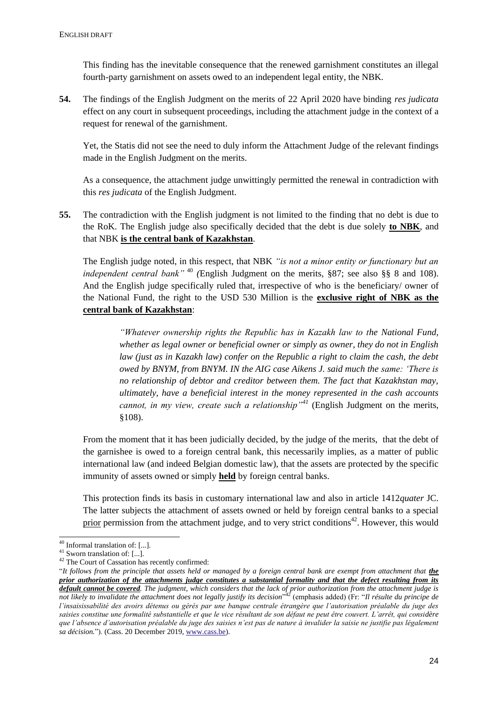This finding has the inevitable consequence that the renewed garnishment constitutes an illegal fourth-party garnishment on assets owed to an independent legal entity, the NBK.

**54.** The findings of the English Judgment on the merits of 22 April 2020 have binding *res judicata* effect on any court in subsequent proceedings, including the attachment judge in the context of a request for renewal of the garnishment.

Yet, the Statis did not see the need to duly inform the Attachment Judge of the relevant findings made in the English Judgment on the merits.

As a consequence, the attachment judge unwittingly permitted the renewal in contradiction with this *res judicata* of the English Judgment.

**55.** The contradiction with the English judgment is not limited to the finding that no debt is due to the RoK. The English judge also specifically decided that the debt is due solely **to NBK**, and that NBK **is the central bank of Kazakhstan**.

The English judge noted, in this respect, that NBK *"is not a minor entity or functionary but an independent central bank"* <sup>40</sup> *(*English Judgment on the merits, §87; see also §§ 8 and 108). And the English judge specifically ruled that, irrespective of who is the beneficiary/ owner of the National Fund, the right to the USD 530 Million is the **exclusive right of NBK as the central bank of Kazakhstan**:

> *"Whatever ownership rights the Republic has in Kazakh law to the National Fund, whether as legal owner or beneficial owner or simply as owner, they do not in English law (just as in Kazakh law) confer on the Republic a right to claim the cash, the debt owed by BNYM, from BNYM. IN the AIG case Aikens J. said much the same: 'There is no relationship of debtor and creditor between them. The fact that Kazakhstan may, ultimately, have a beneficial interest in the money represented in the cash accounts cannot, in my view, create such a relationship"<sup>41</sup>* (English Judgment on the merits, §108).

From the moment that it has been judicially decided, by the judge of the merits, that the debt of the garnishee is owed to a foreign central bank, this necessarily implies, as a matter of public international law (and indeed Belgian domestic law), that the assets are protected by the specific immunity of assets owned or simply **held** by foreign central banks.

This protection finds its basis in customary international law and also in article 1412*quater* JC. The latter subjects the attachment of assets owned or held by foreign central banks to a special prior permission from the attachment judge, and to very strict conditions<sup>42</sup>. However, this would

<sup>1</sup> <sup>40</sup> Informal translation of: [...].

 $41$  Sworn translation of: [...].

<sup>&</sup>lt;sup>42</sup> The Court of Cassation has recently confirmed:

<sup>&</sup>quot;*It follows from the principle that assets held or managed by a foreign central bank are exempt from attachment that the prior authorization of the attachments judge constitutes a substantial formality and that the defect resulting from its default cannot be covered. The judgment, which considers that the lack of prior authorization from the attachment judge is not likely to invalidate the attachment does not legally justify its decision*" <sup>42</sup> (emphasis added) (Fr: "*Il résulte du principe de l'insaisissabilité des avoirs détenus ou gérés par une banque centrale étrangère que l'autorisation préalable du juge des saisies constitue une formalité substantielle et que le vice résultant de son défaut ne peut être couvert. L'arrêt, qui considère que l'absence d'autorisation préalable du juge des saisies n'est pas de nature à invalider la saisie ne justifie pas légalement sa décision.*"). (Cass. 20 December 2019[, www.cass.be\)](http://www.cass.be/).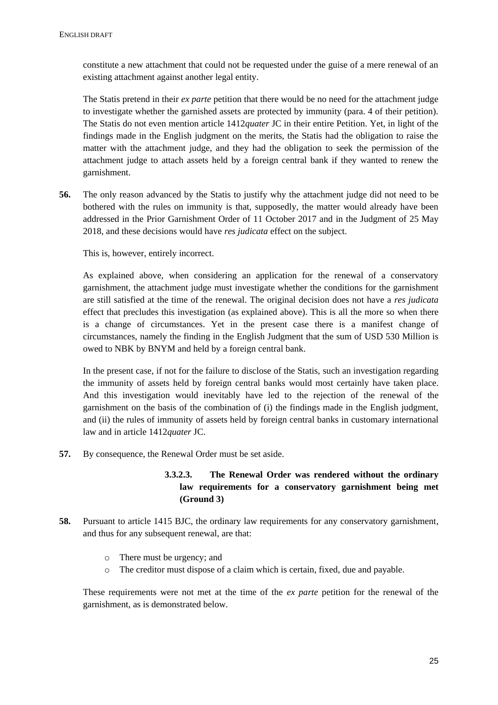constitute a new attachment that could not be requested under the guise of a mere renewal of an existing attachment against another legal entity.

The Statis pretend in their *ex parte* petition that there would be no need for the attachment judge to investigate whether the garnished assets are protected by immunity (para. 4 of their petition). The Statis do not even mention article 1412*quater* JC in their entire Petition. Yet, in light of the findings made in the English judgment on the merits, the Statis had the obligation to raise the matter with the attachment judge, and they had the obligation to seek the permission of the attachment judge to attach assets held by a foreign central bank if they wanted to renew the garnishment.

**56.** The only reason advanced by the Statis to justify why the attachment judge did not need to be bothered with the rules on immunity is that, supposedly, the matter would already have been addressed in the Prior Garnishment Order of 11 October 2017 and in the Judgment of 25 May 2018, and these decisions would have *res judicata* effect on the subject.

This is, however, entirely incorrect.

As explained above, when considering an application for the renewal of a conservatory garnishment, the attachment judge must investigate whether the conditions for the garnishment are still satisfied at the time of the renewal. The original decision does not have a *res judicata* effect that precludes this investigation (as explained above). This is all the more so when there is a change of circumstances. Yet in the present case there is a manifest change of circumstances, namely the finding in the English Judgment that the sum of USD 530 Million is owed to NBK by BNYM and held by a foreign central bank.

In the present case, if not for the failure to disclose of the Statis, such an investigation regarding the immunity of assets held by foreign central banks would most certainly have taken place. And this investigation would inevitably have led to the rejection of the renewal of the garnishment on the basis of the combination of (i) the findings made in the English judgment, and (ii) the rules of immunity of assets held by foreign central banks in customary international law and in article 1412*quater* JC.

**57.** By consequence, the Renewal Order must be set aside.

# **3.3.2.3. The Renewal Order was rendered without the ordinary law requirements for a conservatory garnishment being met (Ground 3)**

- **58.** Pursuant to article 1415 BJC, the ordinary law requirements for any conservatory garnishment, and thus for any subsequent renewal, are that:
	- o There must be urgency; and
	- o The creditor must dispose of a claim which is certain, fixed, due and payable.

These requirements were not met at the time of the *ex parte* petition for the renewal of the garnishment, as is demonstrated below.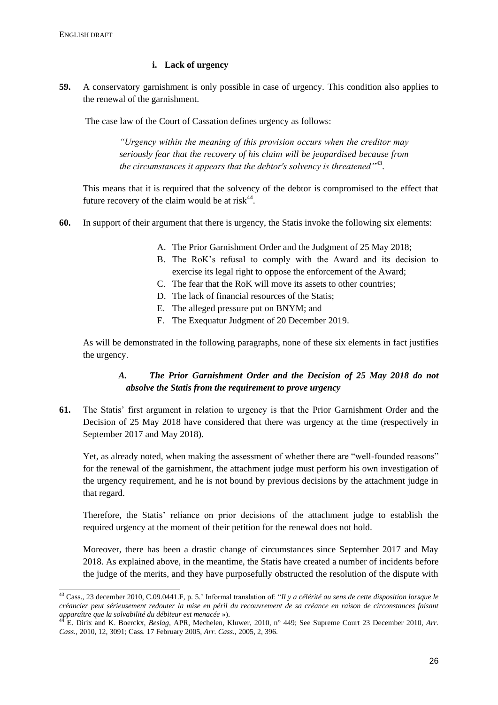1

### **i. Lack of urgency**

**59.** A conservatory garnishment is only possible in case of urgency. This condition also applies to the renewal of the garnishment.

The case law of the Court of Cassation defines urgency as follows:

*"Urgency within the meaning of this provision occurs when the creditor may seriously fear that the recovery of his claim will be jeopardised because from*  the circumstances it appears that the debtor's solvency is threatened<sup>''43</sup>.

This means that it is required that the solvency of the debtor is compromised to the effect that future recovery of the claim would be at risk $44$ .

- **60.** In support of their argument that there is urgency, the Statis invoke the following six elements:
	- A. The Prior Garnishment Order and the Judgment of 25 May 2018;
	- B. The RoK's refusal to comply with the Award and its decision to exercise its legal right to oppose the enforcement of the Award;
	- C. The fear that the RoK will move its assets to other countries;
	- D. The lack of financial resources of the Statis;
	- E. The alleged pressure put on BNYM; and
	- F. The Exequatur Judgment of 20 December 2019.

As will be demonstrated in the following paragraphs, none of these six elements in fact justifies the urgency.

## *A. The Prior Garnishment Order and the Decision of 25 May 2018 do not absolve the Statis from the requirement to prove urgency*

**61.** The Statis' first argument in relation to urgency is that the Prior Garnishment Order and the Decision of 25 May 2018 have considered that there was urgency at the time (respectively in September 2017 and May 2018).

Yet, as already noted, when making the assessment of whether there are "well-founded reasons" for the renewal of the garnishment, the attachment judge must perform his own investigation of the urgency requirement, and he is not bound by previous decisions by the attachment judge in that regard.

Therefore, the Statis' reliance on prior decisions of the attachment judge to establish the required urgency at the moment of their petition for the renewal does not hold.

Moreover, there has been a drastic change of circumstances since September 2017 and May 2018. As explained above, in the meantime, the Statis have created a number of incidents before the judge of the merits, and they have purposefully obstructed the resolution of the dispute with

<sup>&</sup>lt;sup>43</sup> Cass., 23 december 2010, C.09.0441.F, p. 5.' Informal translation of: "*Il y a célérité au sens de cette disposition lorsque le créancier peut sérieusement redouter la mise en péril du recouvrement de sa créance en raison de circonstances faisant apparaître que la solvabilité du débiteur est menacée* »).

<sup>44</sup> E. Dirix and K. Boerckx, *Beslag,* APR, Mechelen, Kluwer, 2010, n° 449; See Supreme Court 23 December 2010, *Arr. Cass.,* 2010, 12, 3091; Cass. 17 February 2005, *Arr. Cass.,* 2005, 2, 396.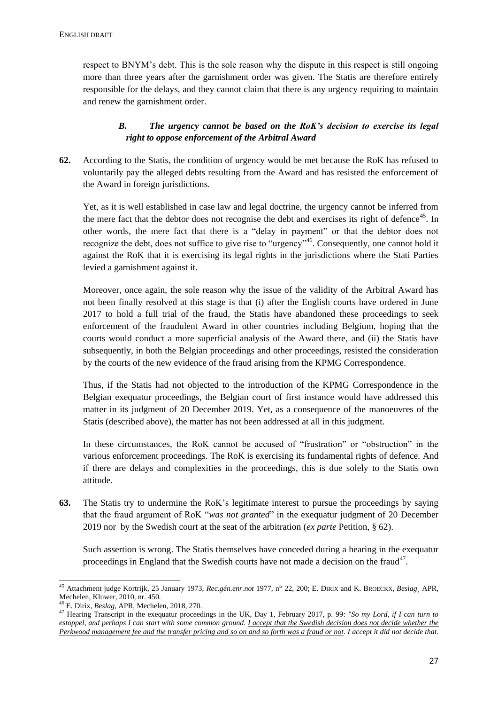respect to BNYM's debt. This is the sole reason why the dispute in this respect is still ongoing more than three years after the garnishment order was given. The Statis are therefore entirely responsible for the delays, and they cannot claim that there is any urgency requiring to maintain and renew the garnishment order.

# *B. The urgency cannot be based on the RoK's decision to exercise its legal right to oppose enforcement of the Arbitral Award*

**62.** According to the Statis, the condition of urgency would be met because the RoK has refused to voluntarily pay the alleged debts resulting from the Award and has resisted the enforcement of the Award in foreign jurisdictions.

Yet, as it is well established in case law and legal doctrine, the urgency cannot be inferred from the mere fact that the debtor does not recognise the debt and exercises its right of defence<sup>45</sup>. In other words, the mere fact that there is a "delay in payment" or that the debtor does not recognize the debt, does not suffice to give rise to "urgency"<sup>46</sup>. Consequently, one cannot hold it against the RoK that it is exercising its legal rights in the jurisdictions where the Stati Parties levied a garnishment against it.

Moreover, once again, the sole reason why the issue of the validity of the Arbitral Award has not been finally resolved at this stage is that (i) after the English courts have ordered in June 2017 to hold a full trial of the fraud, the Statis have abandoned these proceedings to seek enforcement of the fraudulent Award in other countries including Belgium, hoping that the courts would conduct a more superficial analysis of the Award there, and (ii) the Statis have subsequently, in both the Belgian proceedings and other proceedings, resisted the consideration by the courts of the new evidence of the fraud arising from the KPMG Correspondence.

Thus, if the Statis had not objected to the introduction of the KPMG Correspondence in the Belgian exequatur proceedings, the Belgian court of first instance would have addressed this matter in its judgment of 20 December 2019. Yet, as a consequence of the manoeuvres of the Statis (described above), the matter has not been addressed at all in this judgment.

In these circumstances, the RoK cannot be accused of "frustration" or "obstruction" in the various enforcement proceedings. The RoK is exercising its fundamental rights of defence. And if there are delays and complexities in the proceedings, this is due solely to the Statis own attitude.

**63.** The Statis try to undermine the RoK's legitimate interest to pursue the proceedings by saying that the fraud argument of RoK "*was not granted*" in the exequatur judgment of 20 December 2019 nor by the Swedish court at the seat of the arbitration (*ex parte* Petition, § 62).

Such assertion is wrong. The Statis themselves have conceded during a hearing in the exequatur proceedings in England that the Swedish courts have not made a decision on the fraud $4^7$ .

-

<sup>45</sup> Attachment judge Kortrijk, 25 January 1973, *Rec.gén.enr.not* 1977, n° 22, 200; E. DIRIX and K. BROECKX, *Beslag*¸ APR, Mechelen, Kluwer, 2010, nr. 450.

<sup>46</sup> E. Dirix, *Beslag*, APR, Mechelen, 2018, 270.

<sup>47</sup> Hearing Transcript in the exequatur proceedings in the UK, Day 1, February 2017, p. 99: *"So my Lord, if I can turn to estoppel, and perhaps I can start with some common ground. I accept that the Swedish decision does not decide whether the Perkwood management fee and the transfer pricing and so on and so forth was a fraud or not. I accept it did not decide that.*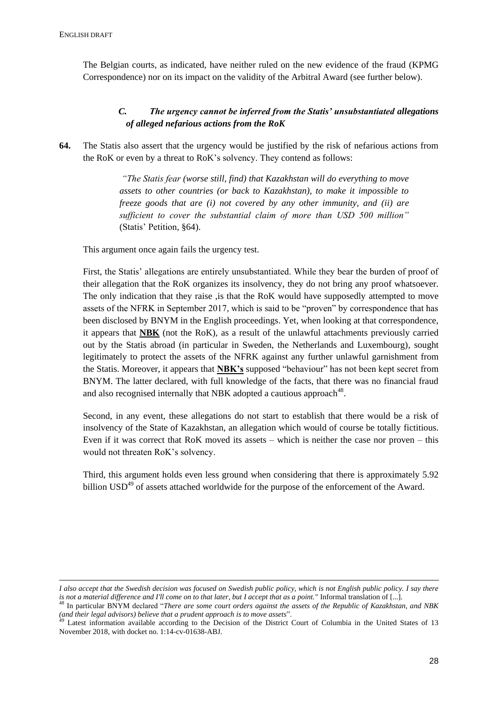-

The Belgian courts, as indicated, have neither ruled on the new evidence of the fraud (KPMG Correspondence) nor on its impact on the validity of the Arbitral Award (see further below).

# *C. The urgency cannot be inferred from the Statis' unsubstantiated allegations of alleged nefarious actions from the RoK*

**64.** The Statis also assert that the urgency would be justified by the risk of nefarious actions from the RoK or even by a threat to RoK's solvency. They contend as follows:

> *"The Statis fear (worse still, find) that Kazakhstan will do everything to move assets to other countries (or back to Kazakhstan), to make it impossible to freeze goods that are (i) not covered by any other immunity, and (ii) are sufficient to cover the substantial claim of more than USD 500 million"*  (Statis' Petition, §64).

This argument once again fails the urgency test.

First, the Statis' allegations are entirely unsubstantiated. While they bear the burden of proof of their allegation that the RoK organizes its insolvency, they do not bring any proof whatsoever. The only indication that they raise , is that the RoK would have supposedly attempted to move assets of the NFRK in September 2017, which is said to be "proven" by correspondence that has been disclosed by BNYM in the English proceedings. Yet, when looking at that correspondence, it appears that **NBK** (not the RoK), as a result of the unlawful attachments previously carried out by the Statis abroad (in particular in Sweden, the Netherlands and Luxembourg), sought legitimately to protect the assets of the NFRK against any further unlawful garnishment from the Statis. Moreover, it appears that **NBK's** supposed "behaviour" has not been kept secret from BNYM. The latter declared, with full knowledge of the facts, that there was no financial fraud and also recognised internally that NBK adopted a cautious approach $48$ .

Second, in any event, these allegations do not start to establish that there would be a risk of insolvency of the State of Kazakhstan, an allegation which would of course be totally fictitious. Even if it was correct that RoK moved its assets – which is neither the case nor proven – this would not threaten RoK's solvency.

Third, this argument holds even less ground when considering that there is approximately 5.92 billion  $\text{USD}^{49}$  of assets attached worldwide for the purpose of the enforcement of the Award.

*I also accept that the Swedish decision was focused on Swedish public policy, which is not English public policy. I say there is not a material difference and I'll come on to that later, but I accept that as a point."* Informal translation of [...].

<sup>48</sup> In particular BNYM declared "*There are some court orders against the assets of the Republic of Kazakhstan, and NBK (and their legal advisors) believe that a prudent approach is to move assets*".

 $49$  Latest information available according to the Decision of the District Court of Columbia in the United States of 13 November 2018, with docket no. 1:14-cv-01638-ABJ.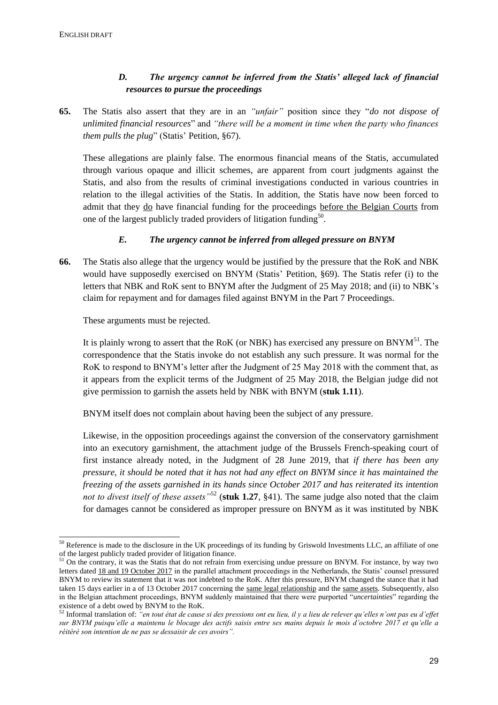1

# *D. The urgency cannot be inferred from the Statis' alleged lack of financial resources to pursue the proceedings*

**65.** The Statis also assert that they are in an *"unfair"* position since they "*do not dispose of unlimited financial resources*" and *"there will be a moment in time when the party who finances them pulls the plug*" (Statis' Petition, §67).

These allegations are plainly false. The enormous financial means of the Statis, accumulated through various opaque and illicit schemes, are apparent from court judgments against the Statis, and also from the results of criminal investigations conducted in various countries in relation to the illegal activities of the Statis. In addition, the Statis have now been forced to admit that they do have financial funding for the proceedings before the Belgian Courts from one of the largest publicly traded providers of litigation funding<sup>50</sup>.

## *E. The urgency cannot be inferred from alleged pressure on BNYM*

**66.** The Statis also allege that the urgency would be justified by the pressure that the RoK and NBK would have supposedly exercised on BNYM (Statis' Petition, §69). The Statis refer (i) to the letters that NBK and RoK sent to BNYM after the Judgment of 25 May 2018; and (ii) to NBK's claim for repayment and for damages filed against BNYM in the Part 7 Proceedings.

These arguments must be rejected.

It is plainly wrong to assert that the RoK (or NBK) has exercised any pressure on BNYM<sup>51</sup>. The correspondence that the Statis invoke do not establish any such pressure. It was normal for the RoK to respond to BNYM's letter after the Judgment of 25 May 2018 with the comment that, as it appears from the explicit terms of the Judgment of 25 May 2018, the Belgian judge did not give permission to garnish the assets held by NBK with BNYM (**stuk 1.11**).

BNYM itself does not complain about having been the subject of any pressure.

Likewise, in the opposition proceedings against the conversion of the conservatory garnishment into an executory garnishment, the attachment judge of the Brussels French-speaking court of first instance already noted, in the Judgment of 28 June 2019, that *if there has been any pressure, it should be noted that it has not had any effect on BNYM since it has maintained the freezing of the assets garnished in its hands since October 2017 and has reiterated its intention not to divest itself of these assets"*<sup>52</sup> (**stuk 1.27**, §41). The same judge also noted that the claim for damages cannot be considered as improper pressure on BNYM as it was instituted by NBK

<sup>&</sup>lt;sup>50</sup> Reference is made to the disclosure in the UK proceedings of its funding by Griswold Investments LLC, an affiliate of one of the largest publicly traded provider of litigation finance.

<sup>&</sup>lt;sup>51</sup> On the contrary, it was the Statis that do not refrain from exercising undue pressure on BNYM. For instance, by way two letters dated 18 and 19 October 2017 in the parallel attachment proceedings in the Netherlands, the Statis' counsel pressured BNYM to review its statement that it was not indebted to the RoK. After this pressure, BNYM changed the stance that it had taken 15 days earlier in a of 13 October 2017 concerning the same legal relationship and the same assets. Subsequently, also in the Belgian attachment proceedings, BNYM suddenly maintained that there were purported "*uncertainties*" regarding the existence of a debt owed by BNYM to the RoK.

<sup>52</sup> Informal translation of: *"en tout état de cause si des pressions ont eu lieu, il y a lieu de relever qu'elles n'ont pas eu d'effet sur BNYM puisqu'elle a maintenu le blocage des actifs saisis entre ses mains depuis le mois d'octobre 2017 et qu'elle a réitéré son intention de ne pas se dessaisir de ces avoirs".*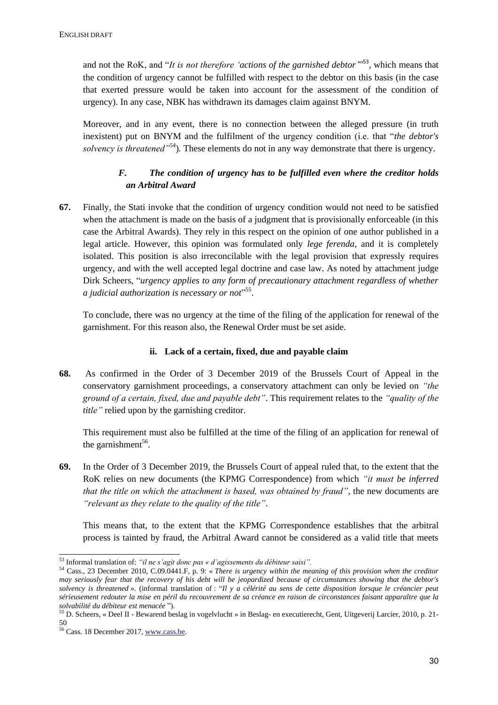and not the RoK, and "*It is not therefore 'actions of the garnished debtor*"<sup>553</sup>, which means that the condition of urgency cannot be fulfilled with respect to the debtor on this basis (in the case that exerted pressure would be taken into account for the assessment of the condition of urgency). In any case, NBK has withdrawn its damages claim against BNYM.

Moreover, and in any event, there is no connection between the alleged pressure (in truth inexistent) put on BNYM and the fulfilment of the urgency condition (i.e. that "*the debtor's solvency is threatened"*<sup>54</sup>)*.* These elements do not in any way demonstrate that there is urgency.

# *F. The condition of urgency has to be fulfilled even where the creditor holds an Arbitral Award*

**67.** Finally, the Stati invoke that the condition of urgency condition would not need to be satisfied when the attachment is made on the basis of a judgment that is provisionally enforceable (in this case the Arbitral Awards). They rely in this respect on the opinion of one author published in a legal article. However, this opinion was formulated only *lege ferenda*, and it is completely isolated. This position is also irreconcilable with the legal provision that expressly requires urgency, and with the well accepted legal doctrine and case law. As noted by attachment judge Dirk Scheers, "*urgency applies to any form of precautionary attachment regardless of whether a judicial authorization is necessary or not*" 55 .

To conclude, there was no urgency at the time of the filing of the application for renewal of the garnishment. For this reason also, the Renewal Order must be set aside.

## **ii. Lack of a certain, fixed, due and payable claim**

**68.** As confirmed in the Order of 3 December 2019 of the Brussels Court of Appeal in the conservatory garnishment proceedings, a conservatory attachment can only be levied on *"the ground of a certain, fixed, due and payable debt"*. This requirement relates to the *"quality of the title"* relied upon by the garnishing creditor.

This requirement must also be fulfilled at the time of the filing of an application for renewal of the garnishment<sup>56</sup>.

**69.** In the Order of 3 December 2019, the Brussels Court of appeal ruled that, to the extent that the RoK relies on new documents (the KPMG Correspondence) from which *"it must be inferred that the title on which the attachment is based, was obtained by fraud"*, the new documents are *"relevant as they relate to the quality of the title"*.

This means that, to the extent that the KPMG Correspondence establishes that the arbitral process is tainted by fraud, the Arbitral Award cannot be considered as a valid title that meets

-

<sup>53</sup> Informal translation of: *"il ne s'agit donc pas « d'agissements du débiteur saisi".*

<sup>54</sup> Cass., 23 December 2010, C.09.0441.F, p. 9: « *There is urgency within the meaning of this provision when the creditor may seriously fear that the recovery of his debt will be jeopardized because of circumstances showing that the debtor's solvency is threatened* ». (informal translation of : "*Il y a célérité au sens de cette disposition lorsque le créancier peut sérieusement redouter la mise en péril du recouvrement de sa créance en raison de circonstances faisant apparaître que la solvabilité du débiteur est menacée* ").

<sup>55</sup> D. Scheers, « Deel II - Bewarend beslag in vogelvlucht » in Beslag- en executierecht, Gent, Uitgeverij Larcier, 2010, p. 21- 50

<sup>56</sup> Cass. 18 December 2017[, www.cass.be.](http://www.cass.be/)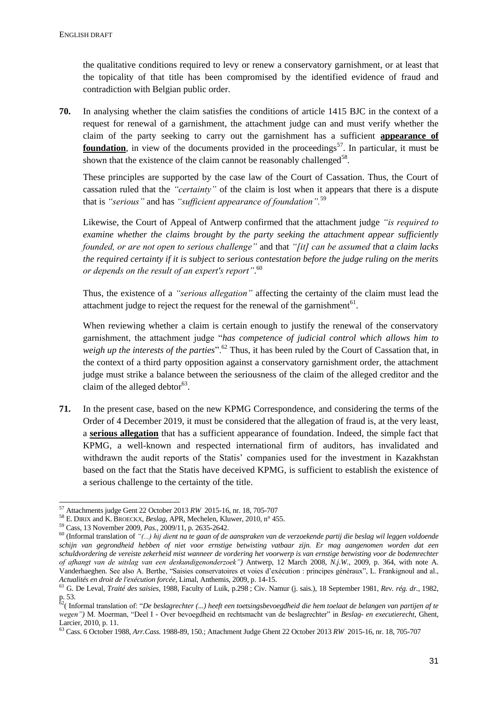the qualitative conditions required to levy or renew a conservatory garnishment, or at least that the topicality of that title has been compromised by the identified evidence of fraud and contradiction with Belgian public order.

**70.** In analysing whether the claim satisfies the conditions of article 1415 BJC in the context of a request for renewal of a garnishment, the attachment judge can and must verify whether the claim of the party seeking to carry out the garnishment has a sufficient **appearance of foundation**, in view of the documents provided in the proceedings<sup>57</sup>. In particular, it must be shown that the existence of the claim cannot be reasonably challenged<sup>58</sup>.

These principles are supported by the case law of the Court of Cassation. Thus, the Court of cassation ruled that the *"certainty"* of the claim is lost when it appears that there is a dispute that is *"serious"* and has *"sufficient appearance of foundation".*<sup>59</sup>

Likewise, the Court of Appeal of Antwerp confirmed that the attachment judge *"is required to examine whether the claims brought by the party seeking the attachment appear sufficiently founded, or are not open to serious challenge"* and that *"[it] can be assumed that a claim lacks the required certainty if it is subject to serious contestation before the judge ruling on the merits or depends on the result of an expert's report"*. 60

Thus, the existence of a *"serious allegation"* affecting the certainty of the claim must lead the attachment judge to reject the request for the renewal of the garnishment $61$ .

When reviewing whether a claim is certain enough to justify the renewal of the conservatory garnishment, the attachment judge "*has competence of judicial control which allows him to*  weigh up the interests of the parties<sup>". 62</sup> Thus, it has been ruled by the Court of Cassation that, in the context of a third party opposition against a conservatory garnishment order, the attachment judge must strike a balance between the seriousness of the claim of the alleged creditor and the claim of the alleged debtor $63$ .

**71.** In the present case, based on the new KPMG Correspondence, and considering the terms of the Order of 4 December 2019, it must be considered that the allegation of fraud is, at the very least, a **serious allegation** that has a sufficient appearance of foundation. Indeed, the simple fact that KPMG, a well-known and respected international firm of auditors, has invalidated and withdrawn the audit reports of the Statis' companies used for the investment in Kazakhstan based on the fact that the Statis have deceived KPMG, is sufficient to establish the existence of a serious challenge to the certainty of the title.

<sup>1</sup> <sup>57</sup> Attachments judge Gent 22 October 2013 *RW* 2015-16, nr. 18, 705-707

<sup>58</sup> E. DIRIX and K. BROECKX, *Beslag*, APR, Mechelen, Kluwer, 2010, n° 455.

<sup>59</sup> Cass, 13 November 2009, *Pas.*, 2009/11, p. 2635-2642.

<sup>60</sup> (Informal translation of *"(...) hij dient na te gaan of de aanspraken van de verzoekende partij die beslag wil leggen voldoende schijn van gegrondheid hebben of niet voor ernstige betwisting vatbaar zijn. Er mag aangenomen worden dat een schuldvordering de vereiste zekerheid mist wanneer de vordering het voorwerp is van ernstige betwisting voor de bodemrechter of afhangt van de uitslag van een deskundigenonderzoek")* Antwerp, 12 March 2008, *N.j.W.*, 2009, p. 364, with note A. Vanderhaeghen. See also A. Berthe, "Saisies conservatoires et voies d'exécution : principes généraux", L. Frankignoul and al., *Actualités en droit de l'exécution forcée*, Limal, Anthemis, 2009, p. 14-15.

<sup>61</sup> G. De Leval, *Traité des saisies*, 1988, Faculty of Luik, p.298 ; Civ. Namur (j. sais.), 18 September 1981, *Rev. rég. dr.*, 1982, p. 53.

<sup>62</sup>( Informal translation of: "*De beslagrechter (...) heeft een toetsingsbevoegdheid die hem toelaat de belangen van partijen af te wegen")* M. Moerman, "Deel I - Over bevoegdheid en rechtsmacht van de beslagrechter" in *Beslag- en executierecht*, Ghent, Larcier, 2010, p. 11.

<sup>63</sup> Cass. 6 October 1988, *Arr.Cass.* 1988-89, 150.; Attachment Judge Ghent 22 October 2013 *RW* 2015-16, nr. 18, 705-707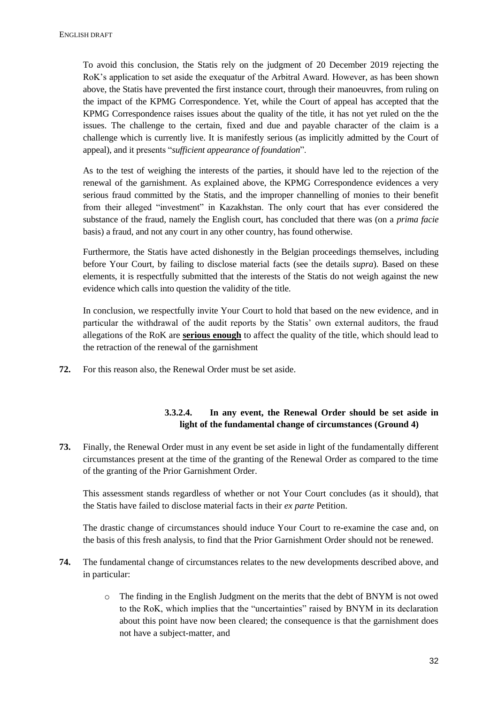To avoid this conclusion, the Statis rely on the judgment of 20 December 2019 rejecting the RoK's application to set aside the exequatur of the Arbitral Award. However, as has been shown above, the Statis have prevented the first instance court, through their manoeuvres, from ruling on the impact of the KPMG Correspondence. Yet, while the Court of appeal has accepted that the KPMG Correspondence raises issues about the quality of the title, it has not yet ruled on the the issues. The challenge to the certain, fixed and due and payable character of the claim is a challenge which is currently live. It is manifestly serious (as implicitly admitted by the Court of appeal), and it presents "*sufficient appearance of foundation*".

As to the test of weighing the interests of the parties, it should have led to the rejection of the renewal of the garnishment. As explained above, the KPMG Correspondence evidences a very serious fraud committed by the Statis, and the improper channelling of monies to their benefit from their alleged "investment" in Kazakhstan. The only court that has ever considered the substance of the fraud, namely the English court, has concluded that there was (on a *prima facie* basis) a fraud, and not any court in any other country, has found otherwise.

Furthermore, the Statis have acted dishonestly in the Belgian proceedings themselves, including before Your Court, by failing to disclose material facts (see the details *supra*). Based on these elements, it is respectfully submitted that the interests of the Statis do not weigh against the new evidence which calls into question the validity of the title.

In conclusion, we respectfully invite Your Court to hold that based on the new evidence, and in particular the withdrawal of the audit reports by the Statis' own external auditors, the fraud allegations of the RoK are **serious enough** to affect the quality of the title, which should lead to the retraction of the renewal of the garnishment

**72.** For this reason also, the Renewal Order must be set aside.

# **3.3.2.4. In any event, the Renewal Order should be set aside in light of the fundamental change of circumstances (Ground 4)**

**73.** Finally, the Renewal Order must in any event be set aside in light of the fundamentally different circumstances present at the time of the granting of the Renewal Order as compared to the time of the granting of the Prior Garnishment Order.

This assessment stands regardless of whether or not Your Court concludes (as it should), that the Statis have failed to disclose material facts in their *ex parte* Petition.

The drastic change of circumstances should induce Your Court to re-examine the case and, on the basis of this fresh analysis, to find that the Prior Garnishment Order should not be renewed.

- **74.** The fundamental change of circumstances relates to the new developments described above, and in particular:
	- o The finding in the English Judgment on the merits that the debt of BNYM is not owed to the RoK, which implies that the "uncertainties" raised by BNYM in its declaration about this point have now been cleared; the consequence is that the garnishment does not have a subject-matter, and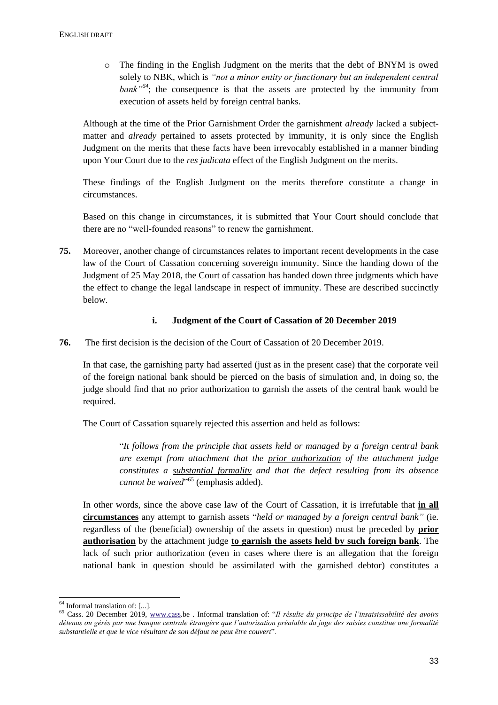o The finding in the English Judgment on the merits that the debt of BNYM is owed solely to NBK, which is *"not a minor entity or functionary but an independent central*  bank<sup>"64</sup>; the consequence is that the assets are protected by the immunity from execution of assets held by foreign central banks.

Although at the time of the Prior Garnishment Order the garnishment *already* lacked a subjectmatter and *already* pertained to assets protected by immunity, it is only since the English Judgment on the merits that these facts have been irrevocably established in a manner binding upon Your Court due to the *res judicata* effect of the English Judgment on the merits.

These findings of the English Judgment on the merits therefore constitute a change in circumstances.

Based on this change in circumstances, it is submitted that Your Court should conclude that there are no "well-founded reasons" to renew the garnishment.

**75.** Moreover, another change of circumstances relates to important recent developments in the case law of the Court of Cassation concerning sovereign immunity. Since the handing down of the Judgment of 25 May 2018, the Court of cassation has handed down three judgments which have the effect to change the legal landscape in respect of immunity. These are described succinctly below.

### **i. Judgment of the Court of Cassation of 20 December 2019**

**76.** The first decision is the decision of the Court of Cassation of 20 December 2019.

In that case, the garnishing party had asserted (just as in the present case) that the corporate veil of the foreign national bank should be pierced on the basis of simulation and, in doing so, the judge should find that no prior authorization to garnish the assets of the central bank would be required.

The Court of Cassation squarely rejected this assertion and held as follows:

"*It follows from the principle that assets held or managed by a foreign central bank are exempt from attachment that the prior authorization of the attachment judge constitutes a substantial formality and that the defect resulting from its absence*  cannot be waived"<sup>65</sup> (emphasis added).

In other words, since the above case law of the Court of Cassation, it is irrefutable that **in all circumstances** any attempt to garnish assets "*held or managed by a foreign central bank"* (ie. regardless of the (beneficial) ownership of the assets in question) must be preceded by **prior authorisation** by the attachment judge **to garnish the assets held by such foreign bank**. The lack of such prior authorization (even in cases where there is an allegation that the foreign national bank in question should be assimilated with the garnished debtor) constitutes a

1

 $64$  Informal translation of: [...].

<sup>65</sup> Cass. 20 December 2019, [www.cass.](http://www.cass/)be . Informal translation of: "*Il résulte du principe de l'insaisissabilité des avoirs détenus ou gérés par une banque centrale étrangère que l'autorisation préalable du juge des saisies constitue une formalité substantielle et que le vice résultant de son défaut ne peut être couvert*".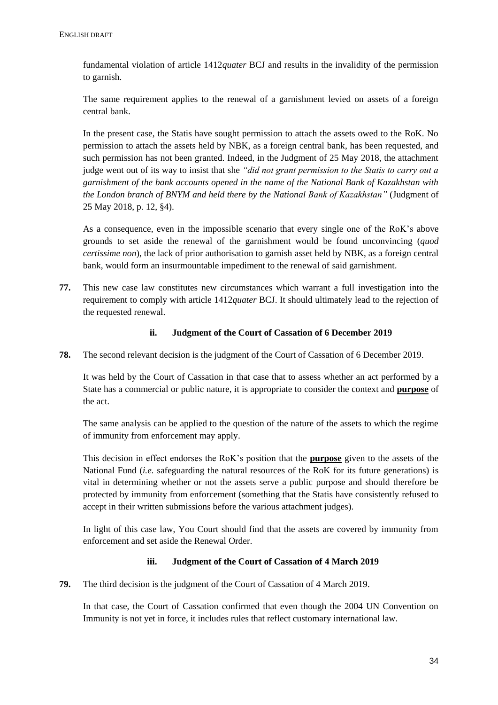fundamental violation of article 1412*quater* BCJ and results in the invalidity of the permission to garnish.

The same requirement applies to the renewal of a garnishment levied on assets of a foreign central bank.

In the present case, the Statis have sought permission to attach the assets owed to the RoK. No permission to attach the assets held by NBK, as a foreign central bank, has been requested, and such permission has not been granted. Indeed, in the Judgment of 25 May 2018, the attachment judge went out of its way to insist that she *"did not grant permission to the Statis to carry out a garnishment of the bank accounts opened in the name of the National Bank of Kazakhstan with the London branch of BNYM and held there by the National Bank of Kazakhstan"* (Judgment of 25 May 2018, p. 12, §4).

As a consequence, even in the impossible scenario that every single one of the RoK's above grounds to set aside the renewal of the garnishment would be found unconvincing (*quod certissime non*), the lack of prior authorisation to garnish asset held by NBK, as a foreign central bank, would form an insurmountable impediment to the renewal of said garnishment.

**77.** This new case law constitutes new circumstances which warrant a full investigation into the requirement to comply with article 1412*quater* BCJ. It should ultimately lead to the rejection of the requested renewal.

### **ii. Judgment of the Court of Cassation of 6 December 2019**

**78.** The second relevant decision is the judgment of the Court of Cassation of 6 December 2019.

It was held by the Court of Cassation in that case that to assess whether an act performed by a State has a commercial or public nature, it is appropriate to consider the context and **purpose** of the act.

The same analysis can be applied to the question of the nature of the assets to which the regime of immunity from enforcement may apply.

This decision in effect endorses the RoK's position that the **purpose** given to the assets of the National Fund (*i.e.* safeguarding the natural resources of the RoK for its future generations) is vital in determining whether or not the assets serve a public purpose and should therefore be protected by immunity from enforcement (something that the Statis have consistently refused to accept in their written submissions before the various attachment judges).

In light of this case law, You Court should find that the assets are covered by immunity from enforcement and set aside the Renewal Order.

#### **iii. Judgment of the Court of Cassation of 4 March 2019**

**79.** The third decision is the judgment of the Court of Cassation of 4 March 2019.

In that case, the Court of Cassation confirmed that even though the 2004 UN Convention on Immunity is not yet in force, it includes rules that reflect customary international law.